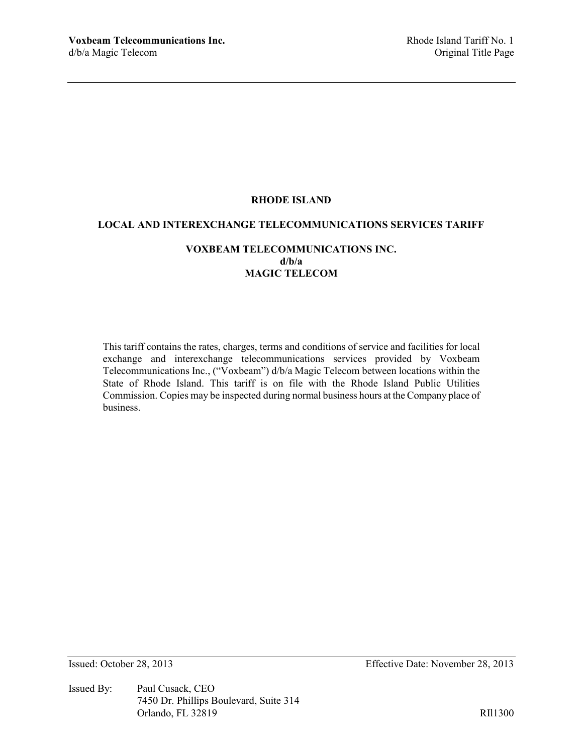## **RHODE ISLAND**

#### **LOCAL AND INTEREXCHANGE TELECOMMUNICATIONS SERVICES TARIFF**

## **VOXBEAM TELECOMMUNICATIONS INC. d/b/a MAGIC TELECOM**

This tariff contains the rates, charges, terms and conditions of service and facilities for local exchange and interexchange telecommunications services provided by Voxbeam Telecommunications Inc., ("Voxbeam") d/b/a Magic Telecom between locations within the State of Rhode Island. This tariff is on file with the Rhode Island Public Utilities Commission. Copies may be inspected during normal business hours at the Company place of business.

Issued By: Paul Cusack, CEO 7450 Dr. Phillips Boulevard, Suite 314 Orlando, FL 32819 RIl1300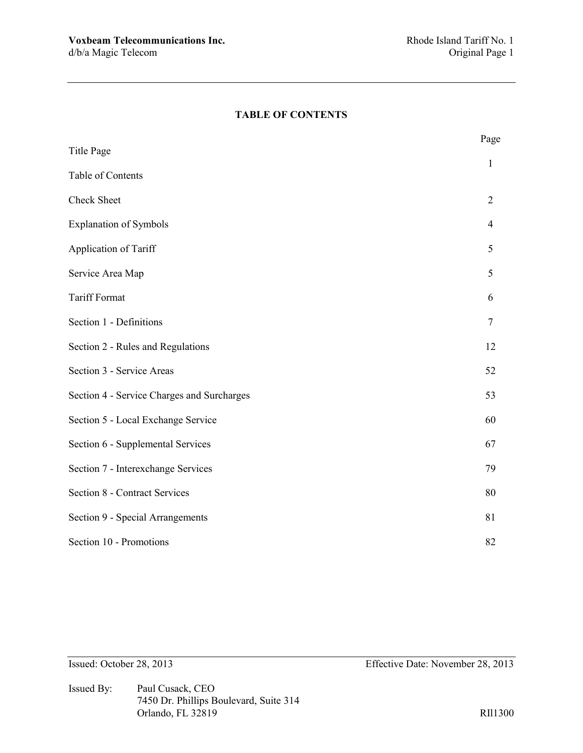## **TABLE OF CONTENTS**

|                                            | Page           |
|--------------------------------------------|----------------|
| <b>Title Page</b>                          | $\mathbf{1}$   |
| Table of Contents                          |                |
| <b>Check Sheet</b>                         | $\overline{2}$ |
| <b>Explanation of Symbols</b>              | 4              |
| Application of Tariff                      | 5              |
| Service Area Map                           | 5              |
| <b>Tariff Format</b>                       | 6              |
| Section 1 - Definitions                    | $\overline{7}$ |
| Section 2 - Rules and Regulations          | 12             |
| Section 3 - Service Areas                  | 52             |
| Section 4 - Service Charges and Surcharges | 53             |
| Section 5 - Local Exchange Service         | 60             |
| Section 6 - Supplemental Services          | 67             |
| Section 7 - Interexchange Services         | 79             |
| <b>Section 8 - Contract Services</b>       | 80             |
| Section 9 - Special Arrangements           | 81             |
| Section 10 - Promotions                    | 82             |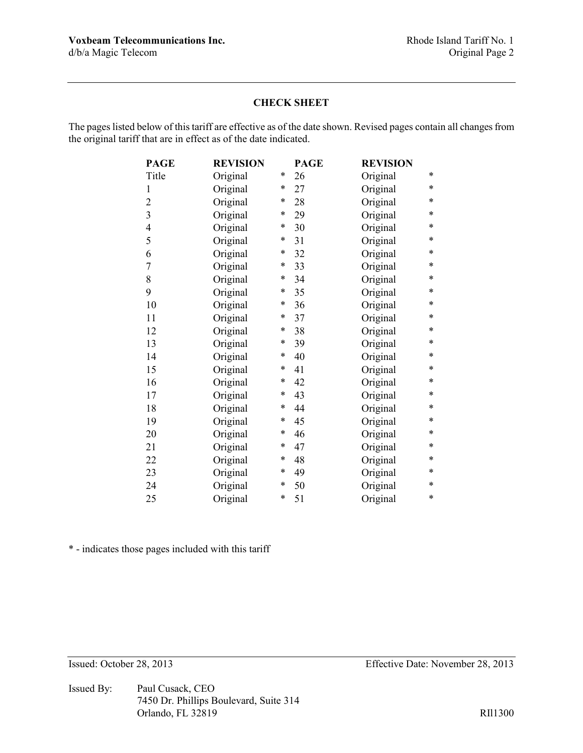### **CHECK SHEET**

The pages listed below of this tariff are effective as of the date shown. Revised pages contain all changes from the original tariff that are in effect as of the date indicated.

| <b>PAGE</b>    | <b>REVISION</b> |        | <b>PAGE</b> | <b>REVISION</b> |   |
|----------------|-----------------|--------|-------------|-----------------|---|
| Title          | Original        | *      | 26          | Original        | * |
| $\mathbf{1}$   | Original        | *      | 27          | Original        | * |
| $\overline{2}$ | Original        | $\ast$ | 28          | Original        | * |
| 3              | Original        | *      | 29          | Original        | * |
| $\overline{4}$ | Original        | *      | 30          | Original        | * |
| 5              | Original        | $\ast$ | 31          | Original        | * |
| 6              | Original        | $\ast$ | 32          | Original        | * |
| 7              | Original        | $\ast$ | 33          | Original        | * |
| 8              | Original        | $\ast$ | 34          | Original        | * |
| 9              | Original        | *      | 35          | Original        | * |
| 10             | Original        | *      | 36          | Original        | * |
| 11             | Original        | *      | 37          | Original        | * |
| 12             | Original        | $\ast$ | 38          | Original        | * |
| 13             | Original        | *      | 39          | Original        | * |
| 14             | Original        | *      | 40          | Original        | * |
| 15             | Original        | *      | 41          | Original        | * |
| 16             | Original        | *      | 42          | Original        | * |
| 17             | Original        | $\ast$ | 43          | Original        | * |
| 18             | Original        | *      | 44          | Original        | * |
| 19             | Original        | *      | 45          | Original        | * |
| 20             | Original        | $\ast$ | 46          | Original        | * |
| 21             | Original        | *      | 47          | Original        | * |
| 22             | Original        | *      | 48          | Original        | * |
| 23             | Original        | *      | 49          | Original        | * |
| 24             | Original        | *      | 50          | Original        | * |
| 25             | Original        | *      | 51          | Original        | * |

\* - indicates those pages included with this tariff

Issued By: Paul Cusack, CEO 7450 Dr. Phillips Boulevard, Suite 314 Orlando, FL 32819 RII1300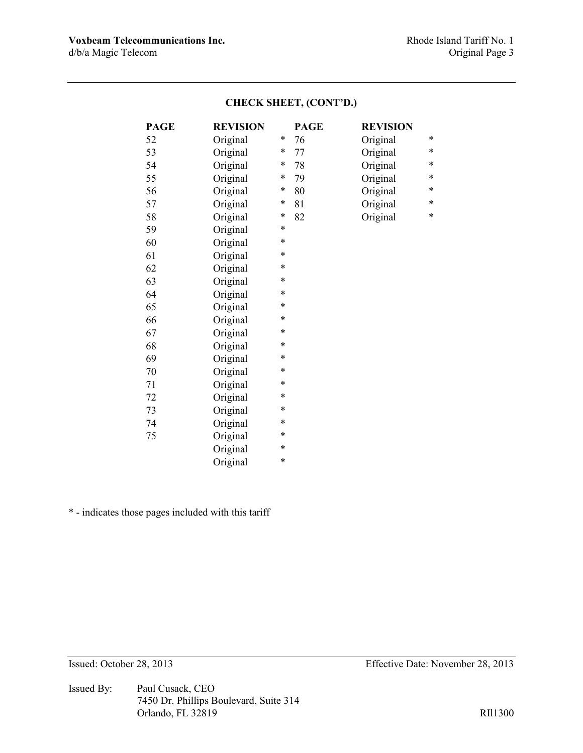| <b>PAGE</b> | <b>REVISION</b> |        | <b>PAGE</b> | <b>REVISION</b> |        |
|-------------|-----------------|--------|-------------|-----------------|--------|
| 52          | Original        | *      | 76          | Original        | *      |
| 53          | Original        | *      | 77          | Original        | $\ast$ |
| 54          | Original        | *      | 78          | Original        | $\ast$ |
| 55          | Original        | *      | 79          | Original        | $\ast$ |
| 56          | Original        | *      | 80          | Original        | $\ast$ |
| 57          | Original        | *      | 81          | Original        | *      |
| 58          | Original        | $\ast$ | 82          | Original        | $\ast$ |
| 59          | Original        | *      |             |                 |        |
| 60          | Original        | *      |             |                 |        |
| 61          | Original        | *      |             |                 |        |
| 62          | Original        | *      |             |                 |        |
| 63          | Original        | *      |             |                 |        |
| 64          | Original        | *      |             |                 |        |
| 65          | Original        | *      |             |                 |        |
| 66          | Original        | *      |             |                 |        |
| 67          | Original        | *      |             |                 |        |
| 68          | Original        | *      |             |                 |        |
| 69          | Original        | *      |             |                 |        |
| 70          | Original        | *      |             |                 |        |
| 71          | Original        | *      |             |                 |        |
| 72          | Original        | *      |             |                 |        |
| 73          | Original        | *      |             |                 |        |
| 74          | Original        | *      |             |                 |        |
| 75          | Original        | *      |             |                 |        |
|             | Original        | *      |             |                 |        |
|             | Original        | *      |             |                 |        |
|             |                 |        |             |                 |        |

# **CHECK SHEET, (CONT'D.)**

\* - indicates those pages included with this tariff

Issued By: Paul Cusack, CEO 7450 Dr. Phillips Boulevard, Suite 314 Orlando, FL 32819 RII1300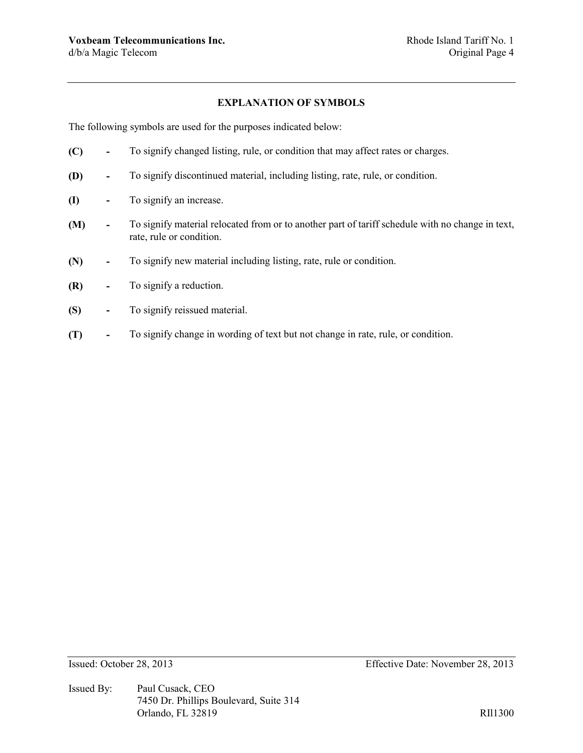## **EXPLANATION OF SYMBOLS**

The following symbols are used for the purposes indicated below:

- **(C) -** To signify changed listing, rule, or condition that may affect rates or charges.
- **(D) -** To signify discontinued material, including listing, rate, rule, or condition.
- **(I) -** To signify an increase.
- **(M) -** To signify material relocated from or to another part of tariff schedule with no change in text, rate, rule or condition.
- **(N) -** To signify new material including listing, rate, rule or condition.
- **(R) -** To signify a reduction.
- **(S) -** To signify reissued material.
- **(T) -** To signify change in wording of text but not change in rate, rule, or condition.

Issued By: Paul Cusack, CEO 7450 Dr. Phillips Boulevard, Suite 314 Orlando, FL 32819 RIl1300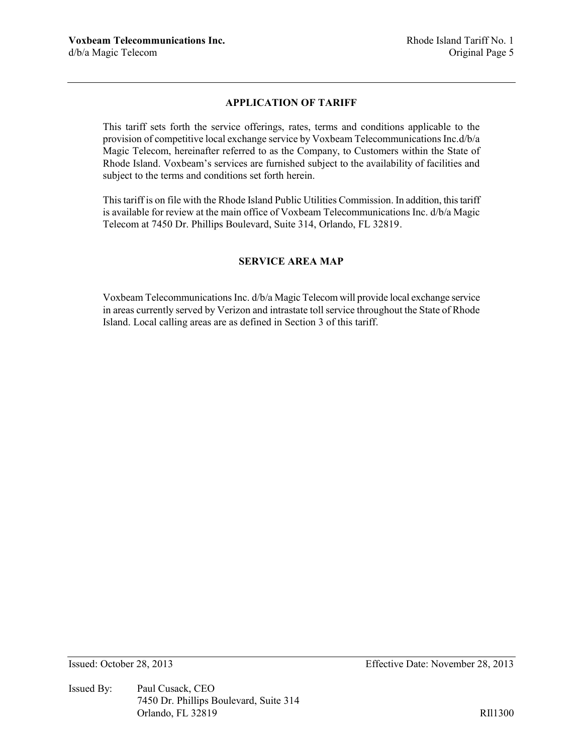## **APPLICATION OF TARIFF**

This tariff sets forth the service offerings, rates, terms and conditions applicable to the provision of competitive local exchange service by Voxbeam Telecommunications Inc.d/b/a Magic Telecom, hereinafter referred to as the Company, to Customers within the State of Rhode Island. Voxbeam's services are furnished subject to the availability of facilities and subject to the terms and conditions set forth herein.

This tariff is on file with the Rhode Island Public Utilities Commission. In addition, this tariff is available for review at the main office of Voxbeam Telecommunications Inc. d/b/a Magic Telecom at 7450 Dr. Phillips Boulevard, Suite 314, Orlando, FL 32819.

## **SERVICE AREA MAP**

Voxbeam Telecommunications Inc. d/b/a Magic Telecom will provide local exchange service in areas currently served by Verizon and intrastate toll service throughout the State of Rhode Island. Local calling areas are as defined in Section 3 of this tariff.

Issued By: Paul Cusack, CEO 7450 Dr. Phillips Boulevard, Suite 314 Orlando, FL 32819 RIl1300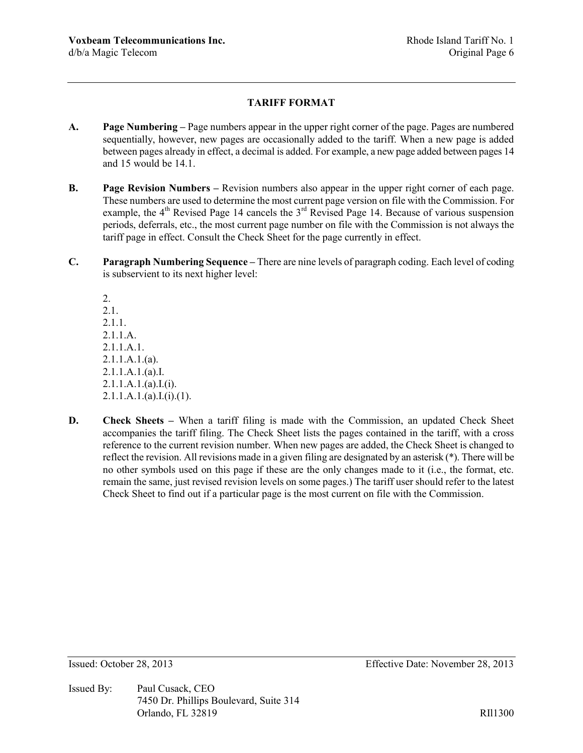## **TARIFF FORMAT**

- **A. Page Numbering –** Page numbers appear in the upper right corner of the page. Pages are numbered sequentially, however, new pages are occasionally added to the tariff. When a new page is added between pages already in effect, a decimal is added. For example, a new page added between pages 14 and 15 would be 14.1.
- **B. Page Revision Numbers –** Revision numbers also appear in the upper right corner of each page. These numbers are used to determine the most current page version on file with the Commission. For example, the  $4<sup>th</sup>$  Revised Page 14 cancels the  $3<sup>rd</sup>$  Revised Page 14. Because of various suspension periods, deferrals, etc., the most current page number on file with the Commission is not always the tariff page in effect. Consult the Check Sheet for the page currently in effect.
- **C. Paragraph Numbering Sequence –** There are nine levels of paragraph coding. Each level of coding is subservient to its next higher level:

2. 2.1. 2.1.1. 2.1.1.A. 2.1.1.A.1. 2.1.1.A.1.(a). 2.1.1.A.1.(a).I.  $2.1.1.A.1.(a).I.(i).$  $2.1.1.A.1.(a).I.(i).(1).$ 

**D. Check Sheets** – When a tariff filing is made with the Commission, an updated Check Sheet accompanies the tariff filing. The Check Sheet lists the pages contained in the tariff, with a cross reference to the current revision number. When new pages are added, the Check Sheet is changed to reflect the revision. All revisions made in a given filing are designated by an asterisk (\*). There will be no other symbols used on this page if these are the only changes made to it (i.e., the format, etc. remain the same, just revised revision levels on some pages.) The tariff user should refer to the latest Check Sheet to find out if a particular page is the most current on file with the Commission.

Issued By: Paul Cusack, CEO 7450 Dr. Phillips Boulevard, Suite 314 Orlando, FL 32819 RII1300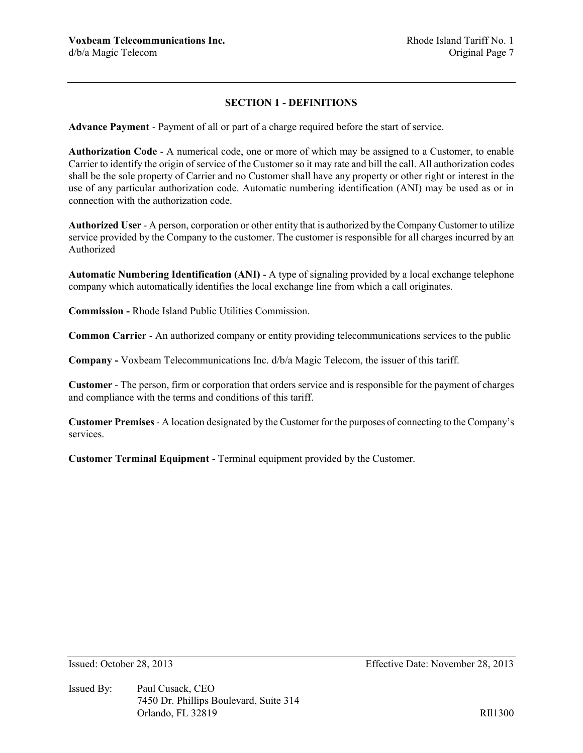## **SECTION 1 - DEFINITIONS**

**Advance Payment** - Payment of all or part of a charge required before the start of service.

**Authorization Code** - A numerical code, one or more of which may be assigned to a Customer, to enable Carrier to identify the origin of service of the Customer so it may rate and bill the call. All authorization codes shall be the sole property of Carrier and no Customer shall have any property or other right or interest in the use of any particular authorization code. Automatic numbering identification (ANI) may be used as or in connection with the authorization code.

**Authorized User** - A person, corporation or other entity that is authorized by the Company Customer to utilize service provided by the Company to the customer. The customer is responsible for all charges incurred by an Authorized

**Automatic Numbering Identification (ANI)** - A type of signaling provided by a local exchange telephone company which automatically identifies the local exchange line from which a call originates.

**Commission -** Rhode Island Public Utilities Commission.

**Common Carrier** - An authorized company or entity providing telecommunications services to the public

**Company -** Voxbeam Telecommunications Inc. d/b/a Magic Telecom, the issuer of this tariff.

**Customer** - The person, firm or corporation that orders service and is responsible for the payment of charges and compliance with the terms and conditions of this tariff.

**Customer Premises** - A location designated by the Customer for the purposes of connecting to the Company's services.

**Customer Terminal Equipment** - Terminal equipment provided by the Customer.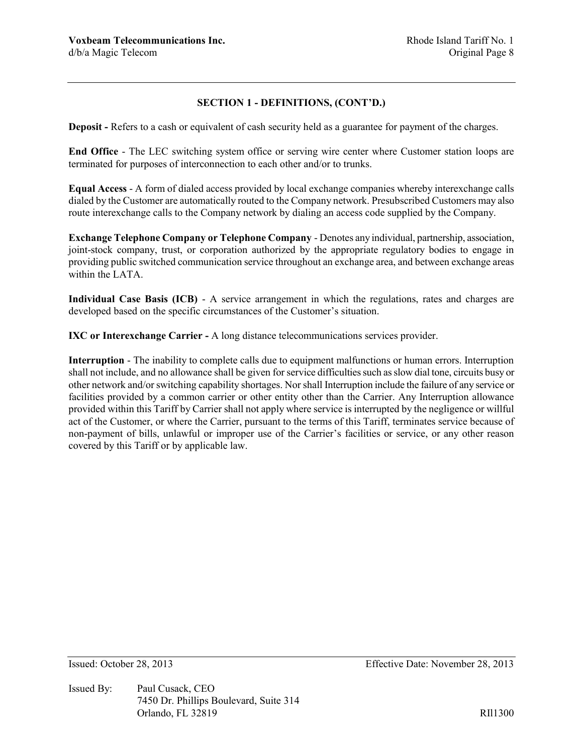**Deposit -** Refers to a cash or equivalent of cash security held as a guarantee for payment of the charges.

**End Office** - The LEC switching system office or serving wire center where Customer station loops are terminated for purposes of interconnection to each other and/or to trunks.

**Equal Access** - A form of dialed access provided by local exchange companies whereby interexchange calls dialed by the Customer are automatically routed to the Company network. Presubscribed Customers may also route interexchange calls to the Company network by dialing an access code supplied by the Company.

**Exchange Telephone Company or Telephone Company** - Denotes any individual, partnership, association, joint-stock company, trust, or corporation authorized by the appropriate regulatory bodies to engage in providing public switched communication service throughout an exchange area, and between exchange areas within the LATA.

**Individual Case Basis (ICB)** - A service arrangement in which the regulations, rates and charges are developed based on the specific circumstances of the Customer's situation.

**IXC or Interexchange Carrier -** A long distance telecommunications services provider.

**Interruption** - The inability to complete calls due to equipment malfunctions or human errors. Interruption shall not include, and no allowance shall be given for service difficulties such as slow dial tone, circuits busy or other network and/or switching capability shortages. Nor shall Interruption include the failure of any service or facilities provided by a common carrier or other entity other than the Carrier. Any Interruption allowance provided within this Tariff by Carrier shall not apply where service is interrupted by the negligence or willful act of the Customer, or where the Carrier, pursuant to the terms of this Tariff, terminates service because of non-payment of bills, unlawful or improper use of the Carrier's facilities or service, or any other reason covered by this Tariff or by applicable law.

Issued By: Paul Cusack, CEO 7450 Dr. Phillips Boulevard, Suite 314 Orlando, FL 32819 RII1300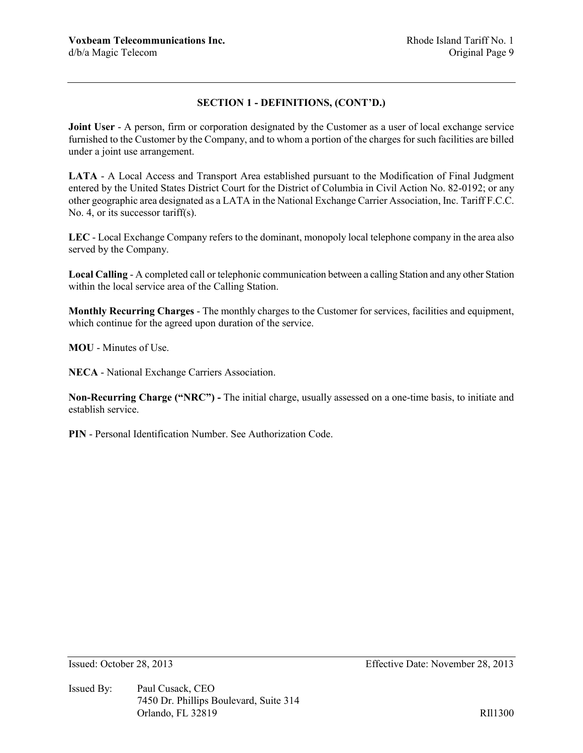**Joint User** - A person, firm or corporation designated by the Customer as a user of local exchange service furnished to the Customer by the Company, and to whom a portion of the charges for such facilities are billed under a joint use arrangement.

**LATA** - A Local Access and Transport Area established pursuant to the Modification of Final Judgment entered by the United States District Court for the District of Columbia in Civil Action No. 82-0192; or any other geographic area designated as a LATA in the National Exchange Carrier Association, Inc. Tariff F.C.C. No. 4, or its successor tariff(s).

**LEC** - Local Exchange Company refers to the dominant, monopoly local telephone company in the area also served by the Company.

**Local Calling** - A completed call or telephonic communication between a calling Station and any other Station within the local service area of the Calling Station.

**Monthly Recurring Charges** - The monthly charges to the Customer for services, facilities and equipment, which continue for the agreed upon duration of the service.

**MOU** - Minutes of Use.

**NECA** - National Exchange Carriers Association.

**Non-Recurring Charge ("NRC") -** The initial charge, usually assessed on a one-time basis, to initiate and establish service.

**PIN** - Personal Identification Number. See Authorization Code.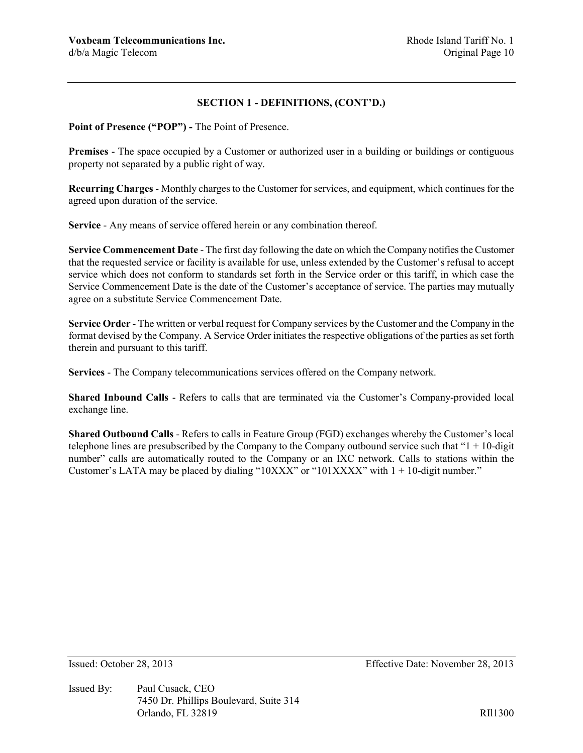**Point of Presence ("POP") -** The Point of Presence.

**Premises** - The space occupied by a Customer or authorized user in a building or buildings or contiguous property not separated by a public right of way.

**Recurring Charges** - Monthly charges to the Customer for services, and equipment, which continues for the agreed upon duration of the service.

**Service** - Any means of service offered herein or any combination thereof.

**Service Commencement Date** - The first day following the date on which the Company notifies the Customer that the requested service or facility is available for use, unless extended by the Customer's refusal to accept service which does not conform to standards set forth in the Service order or this tariff, in which case the Service Commencement Date is the date of the Customer's acceptance of service. The parties may mutually agree on a substitute Service Commencement Date.

**Service Order** - The written or verbal request for Company services by the Customer and the Company in the format devised by the Company. A Service Order initiates the respective obligations of the parties as set forth therein and pursuant to this tariff.

**Services** - The Company telecommunications services offered on the Company network.

**Shared Inbound Calls** - Refers to calls that are terminated via the Customer's Company-provided local exchange line.

**Shared Outbound Calls** - Refers to calls in Feature Group (FGD) exchanges whereby the Customer's local telephone lines are presubscribed by the Company to the Company outbound service such that " $1 + 10$ -digit" number" calls are automatically routed to the Company or an IXC network. Calls to stations within the Customer's LATA may be placed by dialing "10XXX" or "101XXXX" with  $1 + 10$ -digit number."

Issued By: Paul Cusack, CEO 7450 Dr. Phillips Boulevard, Suite 314 Orlando, FL 32819 RII1300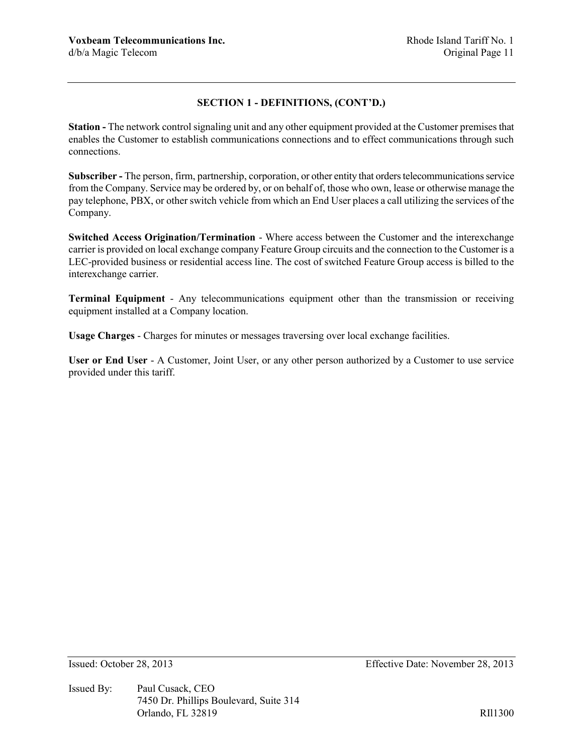**Station -** The network control signaling unit and any other equipment provided at the Customer premises that enables the Customer to establish communications connections and to effect communications through such connections.

**Subscriber -** The person, firm, partnership, corporation, or other entity that orders telecommunications service from the Company. Service may be ordered by, or on behalf of, those who own, lease or otherwise manage the pay telephone, PBX, or other switch vehicle from which an End User places a call utilizing the services of the Company.

**Switched Access Origination/Termination** - Where access between the Customer and the interexchange carrier is provided on local exchange company Feature Group circuits and the connection to the Customer is a LEC-provided business or residential access line. The cost of switched Feature Group access is billed to the interexchange carrier.

**Terminal Equipment** - Any telecommunications equipment other than the transmission or receiving equipment installed at a Company location.

**Usage Charges** - Charges for minutes or messages traversing over local exchange facilities.

**User or End User** - A Customer, Joint User, or any other person authorized by a Customer to use service provided under this tariff.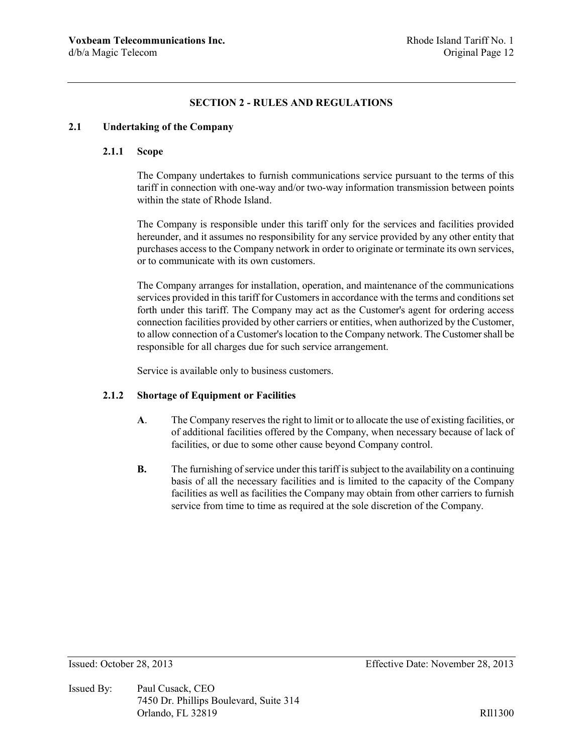## **SECTION 2 - RULES AND REGULATIONS**

### **2.1 Undertaking of the Company**

## **2.1.1 Scope**

The Company undertakes to furnish communications service pursuant to the terms of this tariff in connection with one-way and/or two-way information transmission between points within the state of Rhode Island.

The Company is responsible under this tariff only for the services and facilities provided hereunder, and it assumes no responsibility for any service provided by any other entity that purchases access to the Company network in order to originate or terminate its own services, or to communicate with its own customers.

The Company arranges for installation, operation, and maintenance of the communications services provided in this tariff for Customers in accordance with the terms and conditions set forth under this tariff. The Company may act as the Customer's agent for ordering access connection facilities provided by other carriers or entities, when authorized by the Customer, to allow connection of a Customer's location to the Company network. The Customer shall be responsible for all charges due for such service arrangement.

Service is available only to business customers.

## **2.1.2 Shortage of Equipment or Facilities**

- **A**. The Company reserves the right to limit or to allocate the use of existing facilities, or of additional facilities offered by the Company, when necessary because of lack of facilities, or due to some other cause beyond Company control.
- **B.** The furnishing of service under this tariff is subject to the availability on a continuing basis of all the necessary facilities and is limited to the capacity of the Company facilities as well as facilities the Company may obtain from other carriers to furnish service from time to time as required at the sole discretion of the Company.

Issued By: Paul Cusack, CEO 7450 Dr. Phillips Boulevard, Suite 314 Orlando, FL 32819 RII1300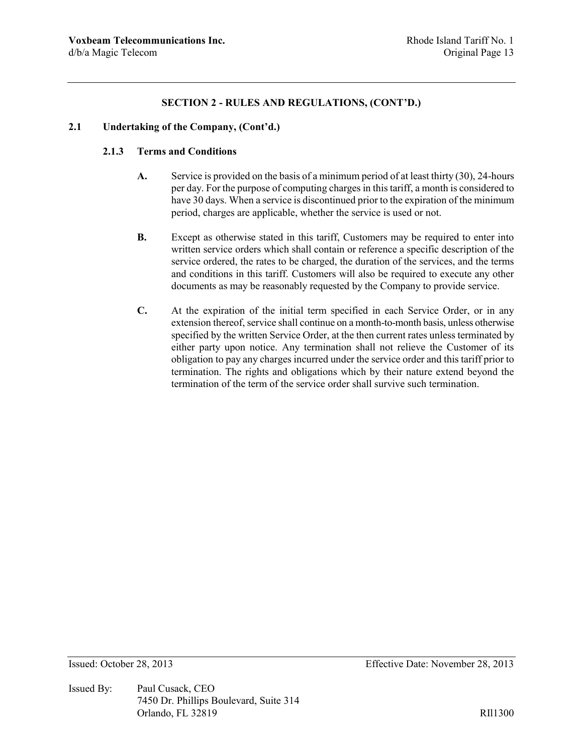### **2.1 Undertaking of the Company, (Cont'd.)**

### **2.1.3 Terms and Conditions**

- **A.** Service is provided on the basis of a minimum period of at least thirty (30), 24-hours per day. For the purpose of computing charges in this tariff, a month is considered to have 30 days. When a service is discontinued prior to the expiration of the minimum period, charges are applicable, whether the service is used or not.
- **B.** Except as otherwise stated in this tariff, Customers may be required to enter into written service orders which shall contain or reference a specific description of the service ordered, the rates to be charged, the duration of the services, and the terms and conditions in this tariff. Customers will also be required to execute any other documents as may be reasonably requested by the Company to provide service.
- **C.** At the expiration of the initial term specified in each Service Order, or in any extension thereof, service shall continue on a month-to-month basis, unless otherwise specified by the written Service Order, at the then current rates unless terminated by either party upon notice. Any termination shall not relieve the Customer of its obligation to pay any charges incurred under the service order and this tariff prior to termination. The rights and obligations which by their nature extend beyond the termination of the term of the service order shall survive such termination.

Issued By: Paul Cusack, CEO 7450 Dr. Phillips Boulevard, Suite 314 Orlando, FL 32819 RII1300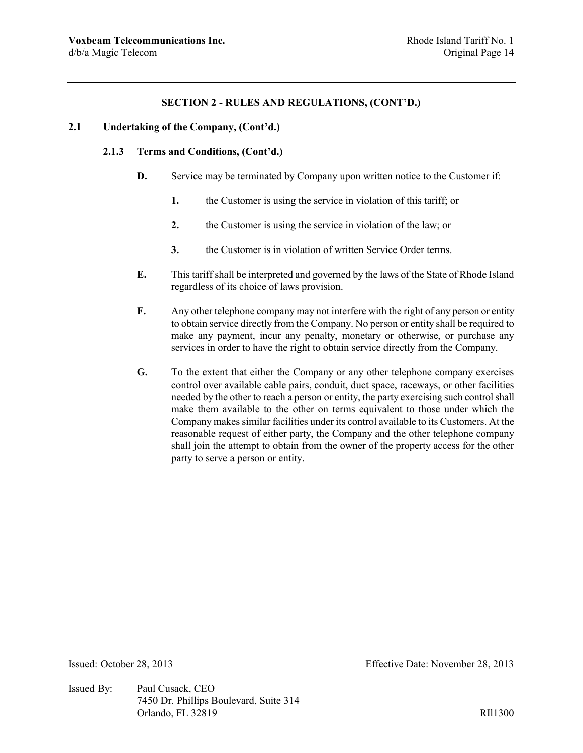## **2.1 Undertaking of the Company, (Cont'd.)**

#### **2.1.3 Terms and Conditions, (Cont'd.)**

- **D.** Service may be terminated by Company upon written notice to the Customer if:
	- **1.** the Customer is using the service in violation of this tariff; or
	- **2.** the Customer is using the service in violation of the law; or
	- **3.** the Customer is in violation of written Service Order terms.
- **E.** This tariff shall be interpreted and governed by the laws of the State of Rhode Island regardless of its choice of laws provision.
- **F.** Any other telephone company may not interfere with the right of any person or entity to obtain service directly from the Company. No person or entity shall be required to make any payment, incur any penalty, monetary or otherwise, or purchase any services in order to have the right to obtain service directly from the Company.
- **G.** To the extent that either the Company or any other telephone company exercises control over available cable pairs, conduit, duct space, raceways, or other facilities needed by the other to reach a person or entity, the party exercising such control shall make them available to the other on terms equivalent to those under which the Company makes similar facilities under its control available to its Customers. At the reasonable request of either party, the Company and the other telephone company shall join the attempt to obtain from the owner of the property access for the other party to serve a person or entity.

Issued By: Paul Cusack, CEO 7450 Dr. Phillips Boulevard, Suite 314 Orlando, FL 32819 RII1300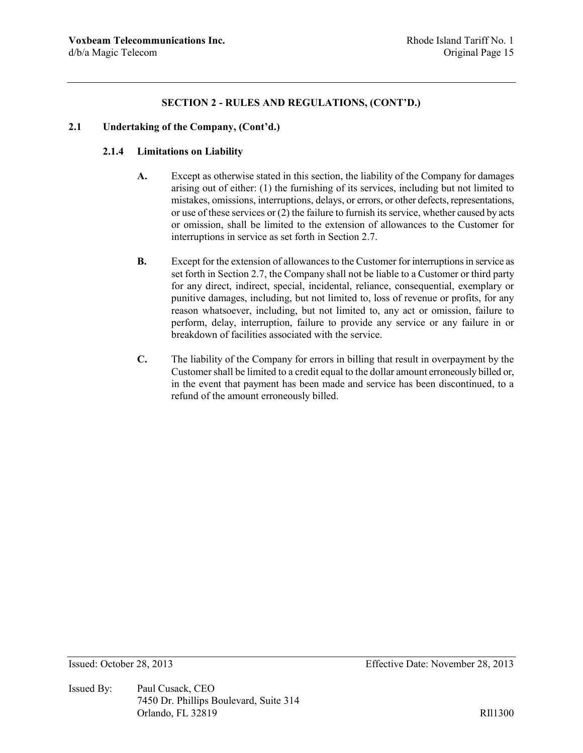### **2.1 Undertaking of the Company, (Cont'd.)**

### **2.1.4 Limitations on Liability**

- **A.** Except as otherwise stated in this section, the liability of the Company for damages arising out of either: (1) the furnishing of its services, including but not limited to mistakes, omissions, interruptions, delays, or errors, or other defects, representations, or use of these services or (2) the failure to furnish its service, whether caused by acts or omission, shall be limited to the extension of allowances to the Customer for interruptions in service as set forth in Section 2.7.
- **B.** Except for the extension of allowances to the Customer for interruptions in service as set forth in Section 2.7, the Company shall not be liable to a Customer or third party for any direct, indirect, special, incidental, reliance, consequential, exemplary or punitive damages, including, but not limited to, loss of revenue or profits, for any reason whatsoever, including, but not limited to, any act or omission, failure to perform, delay, interruption, failure to provide any service or any failure in or breakdown of facilities associated with the service.
- **C.** The liability of the Company for errors in billing that result in overpayment by the Customer shall be limited to a credit equal to the dollar amount erroneously billed or, in the event that payment has been made and service has been discontinued, to a refund of the amount erroneously billed.

Issued By: Paul Cusack, CEO 7450 Dr. Phillips Boulevard, Suite 314 Orlando, FL 32819 RII1300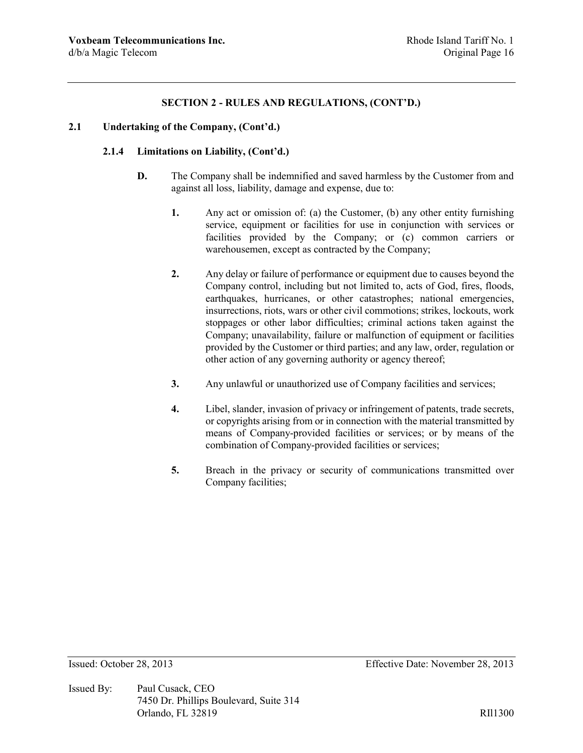#### **2.1 Undertaking of the Company, (Cont'd.)**

#### **2.1.4 Limitations on Liability, (Cont'd.)**

- **D.** The Company shall be indemnified and saved harmless by the Customer from and against all loss, liability, damage and expense, due to:
	- **1.** Any act or omission of: (a) the Customer, (b) any other entity furnishing service, equipment or facilities for use in conjunction with services or facilities provided by the Company; or (c) common carriers or warehousemen, except as contracted by the Company;
	- **2.** Any delay or failure of performance or equipment due to causes beyond the Company control, including but not limited to, acts of God, fires, floods, earthquakes, hurricanes, or other catastrophes; national emergencies, insurrections, riots, wars or other civil commotions; strikes, lockouts, work stoppages or other labor difficulties; criminal actions taken against the Company; unavailability, failure or malfunction of equipment or facilities provided by the Customer or third parties; and any law, order, regulation or other action of any governing authority or agency thereof;
	- **3.** Any unlawful or unauthorized use of Company facilities and services;
	- **4.** Libel, slander, invasion of privacy or infringement of patents, trade secrets, or copyrights arising from or in connection with the material transmitted by means of Company-provided facilities or services; or by means of the combination of Company-provided facilities or services;
	- **5.** Breach in the privacy or security of communications transmitted over Company facilities;

Issued By: Paul Cusack, CEO 7450 Dr. Phillips Boulevard, Suite 314 Orlando, FL 32819 RII1300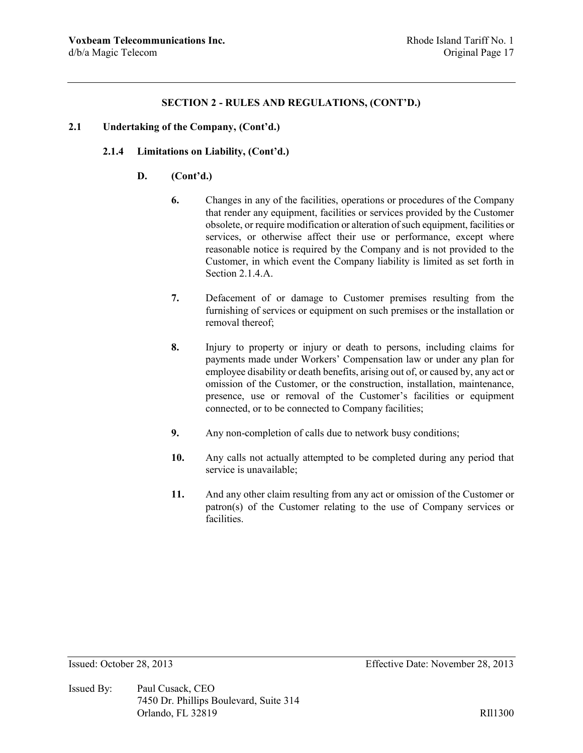#### **2.1 Undertaking of the Company, (Cont'd.)**

#### **2.1.4 Limitations on Liability, (Cont'd.)**

#### **D. (Cont'd.)**

- **6.** Changes in any of the facilities, operations or procedures of the Company that render any equipment, facilities or services provided by the Customer obsolete, or require modification or alteration of such equipment, facilities or services, or otherwise affect their use or performance, except where reasonable notice is required by the Company and is not provided to the Customer, in which event the Company liability is limited as set forth in Section 2.1.4.A.
- **7.** Defacement of or damage to Customer premises resulting from the furnishing of services or equipment on such premises or the installation or removal thereof;
- **8.** Injury to property or injury or death to persons, including claims for payments made under Workers' Compensation law or under any plan for employee disability or death benefits, arising out of, or caused by, any act or omission of the Customer, or the construction, installation, maintenance, presence, use or removal of the Customer's facilities or equipment connected, or to be connected to Company facilities;
- **9.** Any non-completion of calls due to network busy conditions;
- **10.** Any calls not actually attempted to be completed during any period that service is unavailable;
- **11.** And any other claim resulting from any act or omission of the Customer or patron(s) of the Customer relating to the use of Company services or facilities.

Issued By: Paul Cusack, CEO 7450 Dr. Phillips Boulevard, Suite 314 Orlando, FL 32819 RII1300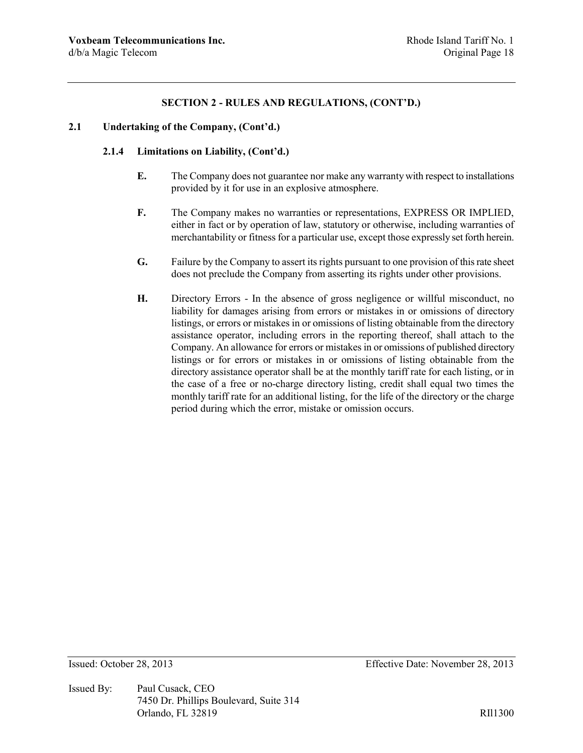#### **2.1 Undertaking of the Company, (Cont'd.)**

### **2.1.4 Limitations on Liability, (Cont'd.)**

- **E.** The Company does not guarantee nor make any warranty with respect to installations provided by it for use in an explosive atmosphere.
- **F.** The Company makes no warranties or representations, EXPRESS OR IMPLIED, either in fact or by operation of law, statutory or otherwise, including warranties of merchantability or fitness for a particular use, except those expressly set forth herein.
- **G.** Failure by the Company to assert its rights pursuant to one provision of this rate sheet does not preclude the Company from asserting its rights under other provisions.
- **H.** Directory Errors In the absence of gross negligence or willful misconduct, no liability for damages arising from errors or mistakes in or omissions of directory listings, or errors or mistakes in or omissions of listing obtainable from the directory assistance operator, including errors in the reporting thereof, shall attach to the Company. An allowance for errors or mistakes in or omissions of published directory listings or for errors or mistakes in or omissions of listing obtainable from the directory assistance operator shall be at the monthly tariff rate for each listing, or in the case of a free or no-charge directory listing, credit shall equal two times the monthly tariff rate for an additional listing, for the life of the directory or the charge period during which the error, mistake or omission occurs.

Issued By: Paul Cusack, CEO 7450 Dr. Phillips Boulevard, Suite 314 Orlando, FL 32819 RIl1300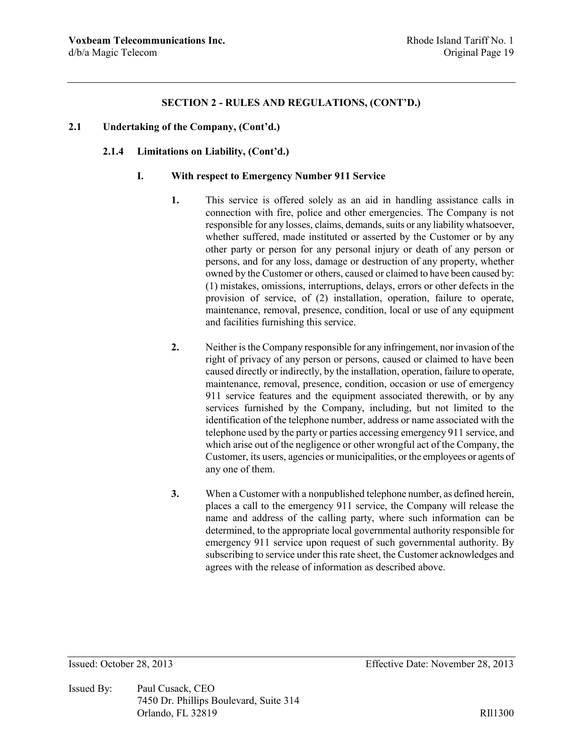#### **2.1 Undertaking of the Company, (Cont'd.)**

#### **2.1.4 Limitations on Liability, (Cont'd.)**

#### **I. With respect to Emergency Number 911 Service**

- **1.** This service is offered solely as an aid in handling assistance calls in connection with fire, police and other emergencies. The Company is not responsible for any losses, claims, demands, suits or any liability whatsoever, whether suffered, made instituted or asserted by the Customer or by any other party or person for any personal injury or death of any person or persons, and for any loss, damage or destruction of any property, whether owned by the Customer or others, caused or claimed to have been caused by: (1) mistakes, omissions, interruptions, delays, errors or other defects in the provision of service, of (2) installation, operation, failure to operate, maintenance, removal, presence, condition, local or use of any equipment and facilities furnishing this service.
- **2.** Neither is the Company responsible for any infringement, nor invasion of the right of privacy of any person or persons, caused or claimed to have been caused directly or indirectly, by the installation, operation, failure to operate, maintenance, removal, presence, condition, occasion or use of emergency 911 service features and the equipment associated therewith, or by any services furnished by the Company, including, but not limited to the identification of the telephone number, address or name associated with the telephone used by the party or parties accessing emergency 911 service, and which arise out of the negligence or other wrongful act of the Company, the Customer, its users, agencies or municipalities, or the employees or agents of any one of them.
- **3.** When a Customer with a nonpublished telephone number, as defined herein, places a call to the emergency 911 service, the Company will release the name and address of the calling party, where such information can be determined, to the appropriate local governmental authority responsible for emergency 911 service upon request of such governmental authority. By subscribing to service under this rate sheet, the Customer acknowledges and agrees with the release of information as described above.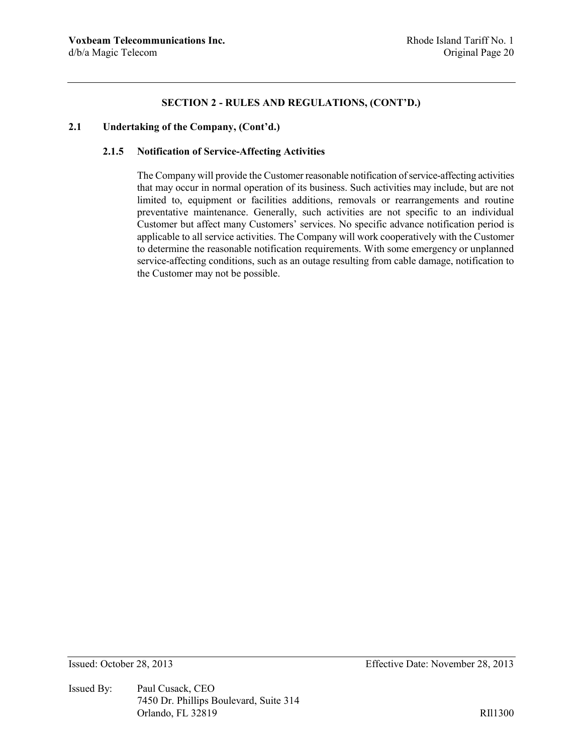#### **2.1 Undertaking of the Company, (Cont'd.)**

#### **2.1.5 Notification of Service-Affecting Activities**

The Company will provide the Customer reasonable notification of service-affecting activities that may occur in normal operation of its business. Such activities may include, but are not limited to, equipment or facilities additions, removals or rearrangements and routine preventative maintenance. Generally, such activities are not specific to an individual Customer but affect many Customers' services. No specific advance notification period is applicable to all service activities. The Company will work cooperatively with the Customer to determine the reasonable notification requirements. With some emergency or unplanned service-affecting conditions, such as an outage resulting from cable damage, notification to the Customer may not be possible.

Issued By: Paul Cusack, CEO 7450 Dr. Phillips Boulevard, Suite 314 Orlando, FL 32819 RIl1300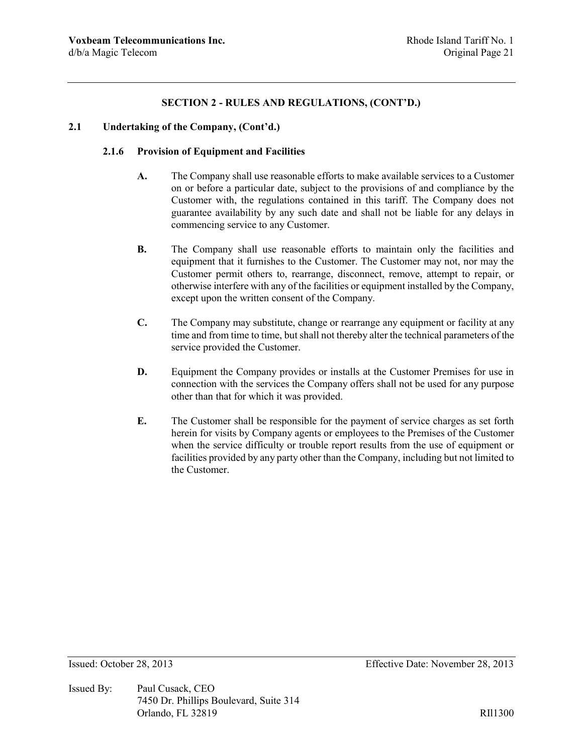### **2.1 Undertaking of the Company, (Cont'd.)**

#### **2.1.6 Provision of Equipment and Facilities**

- **A.** The Company shall use reasonable efforts to make available services to a Customer on or before a particular date, subject to the provisions of and compliance by the Customer with, the regulations contained in this tariff. The Company does not guarantee availability by any such date and shall not be liable for any delays in commencing service to any Customer.
- **B.** The Company shall use reasonable efforts to maintain only the facilities and equipment that it furnishes to the Customer. The Customer may not, nor may the Customer permit others to, rearrange, disconnect, remove, attempt to repair, or otherwise interfere with any of the facilities or equipment installed by the Company, except upon the written consent of the Company.
- **C.** The Company may substitute, change or rearrange any equipment or facility at any time and from time to time, but shall not thereby alter the technical parameters of the service provided the Customer.
- **D.** Equipment the Company provides or installs at the Customer Premises for use in connection with the services the Company offers shall not be used for any purpose other than that for which it was provided.
- **E.** The Customer shall be responsible for the payment of service charges as set forth herein for visits by Company agents or employees to the Premises of the Customer when the service difficulty or trouble report results from the use of equipment or facilities provided by any party other than the Company, including but not limited to the Customer.

Issued By: Paul Cusack, CEO 7450 Dr. Phillips Boulevard, Suite 314 Orlando, FL 32819 RII1300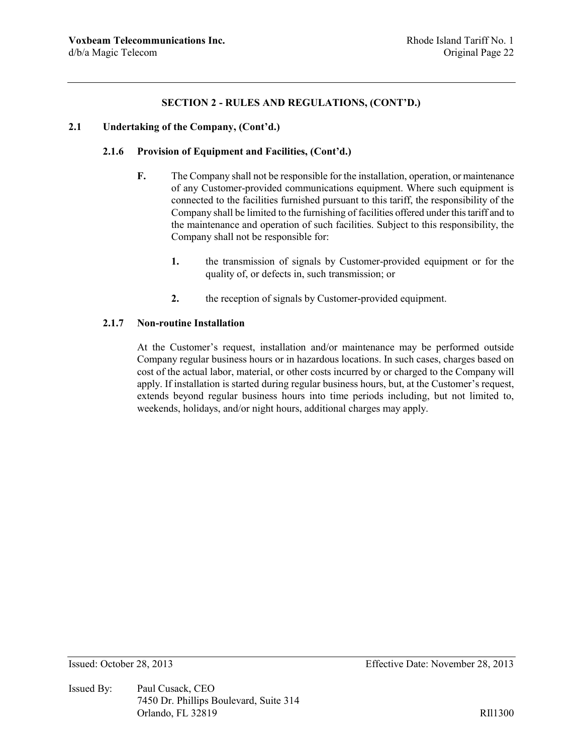#### **2.1 Undertaking of the Company, (Cont'd.)**

### **2.1.6 Provision of Equipment and Facilities, (Cont'd.)**

- **F.** The Company shall not be responsible for the installation, operation, or maintenance of any Customer-provided communications equipment. Where such equipment is connected to the facilities furnished pursuant to this tariff, the responsibility of the Company shall be limited to the furnishing of facilities offered under this tariff and to the maintenance and operation of such facilities. Subject to this responsibility, the Company shall not be responsible for:
	- **1.** the transmission of signals by Customer-provided equipment or for the quality of, or defects in, such transmission; or
	- **2.** the reception of signals by Customer-provided equipment.

#### **2.1.7 Non-routine Installation**

At the Customer's request, installation and/or maintenance may be performed outside Company regular business hours or in hazardous locations. In such cases, charges based on cost of the actual labor, material, or other costs incurred by or charged to the Company will apply. If installation is started during regular business hours, but, at the Customer's request, extends beyond regular business hours into time periods including, but not limited to, weekends, holidays, and/or night hours, additional charges may apply.

Issued By: Paul Cusack, CEO 7450 Dr. Phillips Boulevard, Suite 314 Orlando, FL 32819 RII1300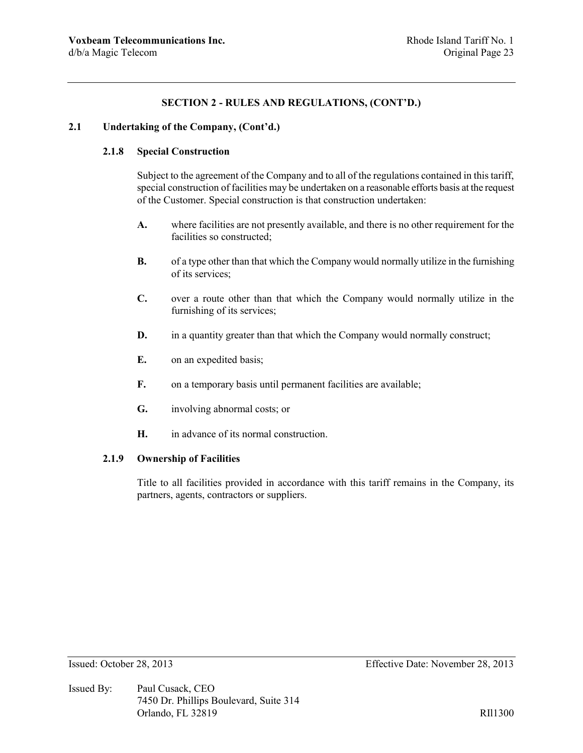### **2.1 Undertaking of the Company, (Cont'd.)**

## **2.1.8 Special Construction**

Subject to the agreement of the Company and to all of the regulations contained in this tariff, special construction of facilities may be undertaken on a reasonable efforts basis at the request of the Customer. Special construction is that construction undertaken:

- **A.** where facilities are not presently available, and there is no other requirement for the facilities so constructed;
- **B.** of a type other than that which the Company would normally utilize in the furnishing of its services;
- **C.** over a route other than that which the Company would normally utilize in the furnishing of its services;
- **D.** in a quantity greater than that which the Company would normally construct;
- **E.** on an expedited basis;
- **F.** on a temporary basis until permanent facilities are available;
- **G.** involving abnormal costs; or
- **H.** in advance of its normal construction.

#### **2.1.9 Ownership of Facilities**

Title to all facilities provided in accordance with this tariff remains in the Company, its partners, agents, contractors or suppliers.

Issued By: Paul Cusack, CEO 7450 Dr. Phillips Boulevard, Suite 314 Orlando, FL 32819 RII1300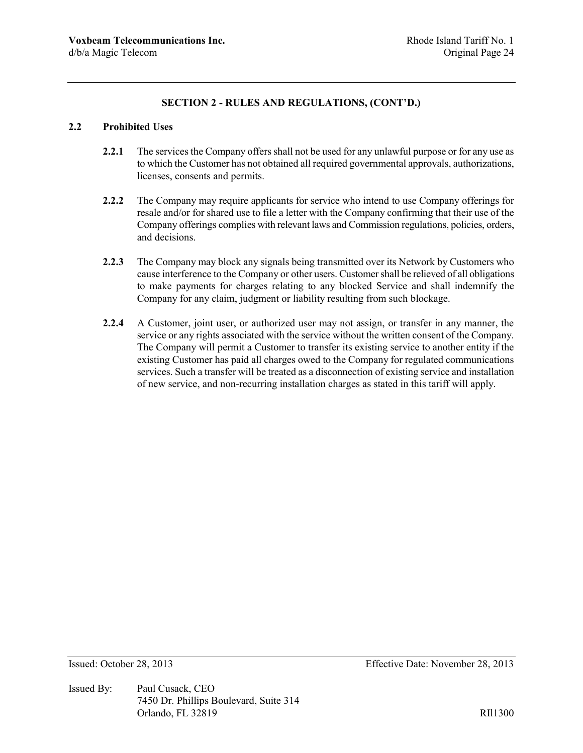## **2.2 Prohibited Uses**

- **2.2.1** The services the Company offers shall not be used for any unlawful purpose or for any use as to which the Customer has not obtained all required governmental approvals, authorizations, licenses, consents and permits.
- **2.2.2** The Company may require applicants for service who intend to use Company offerings for resale and/or for shared use to file a letter with the Company confirming that their use of the Company offerings complies with relevant laws and Commission regulations, policies, orders, and decisions.
- **2.2.3** The Company may block any signals being transmitted over its Network by Customers who cause interference to the Company or other users. Customer shall be relieved of all obligations to make payments for charges relating to any blocked Service and shall indemnify the Company for any claim, judgment or liability resulting from such blockage.
- **2.2.4** A Customer, joint user, or authorized user may not assign, or transfer in any manner, the service or any rights associated with the service without the written consent of the Company. The Company will permit a Customer to transfer its existing service to another entity if the existing Customer has paid all charges owed to the Company for regulated communications services. Such a transfer will be treated as a disconnection of existing service and installation of new service, and non-recurring installation charges as stated in this tariff will apply.

Issued By: Paul Cusack, CEO 7450 Dr. Phillips Boulevard, Suite 314 Orlando, FL 32819 RII1300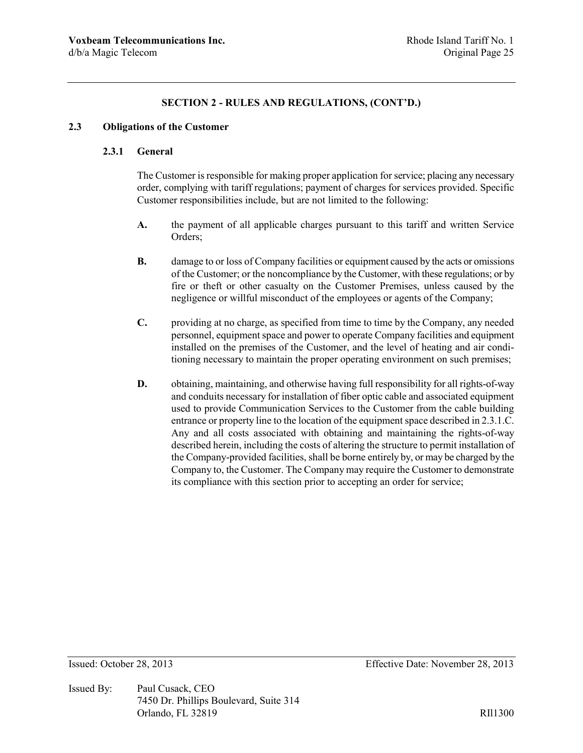### **2.3 Obligations of the Customer**

### **2.3.1 General**

The Customer is responsible for making proper application for service; placing any necessary order, complying with tariff regulations; payment of charges for services provided. Specific Customer responsibilities include, but are not limited to the following:

- **A.** the payment of all applicable charges pursuant to this tariff and written Service Orders;
- **B.** damage to or loss of Company facilities or equipment caused by the acts or omissions of the Customer; or the noncompliance by the Customer, with these regulations; or by fire or theft or other casualty on the Customer Premises, unless caused by the negligence or willful misconduct of the employees or agents of the Company;
- **C.** providing at no charge, as specified from time to time by the Company, any needed personnel, equipment space and power to operate Company facilities and equipment installed on the premises of the Customer, and the level of heating and air conditioning necessary to maintain the proper operating environment on such premises;
- **D.** obtaining, maintaining, and otherwise having full responsibility for all rights-of-way and conduits necessary for installation of fiber optic cable and associated equipment used to provide Communication Services to the Customer from the cable building entrance or property line to the location of the equipment space described in 2.3.1.C. Any and all costs associated with obtaining and maintaining the rights-of-way described herein, including the costs of altering the structure to permit installation of the Company-provided facilities, shall be borne entirely by, or may be charged by the Company to, the Customer. The Company may require the Customer to demonstrate its compliance with this section prior to accepting an order for service;

Issued By: Paul Cusack, CEO 7450 Dr. Phillips Boulevard, Suite 314 Orlando, FL 32819 RIl1300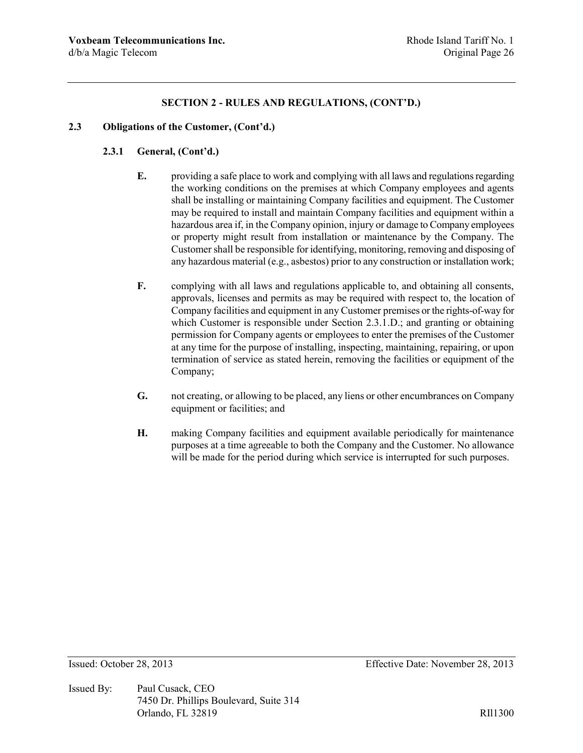#### **2.3 Obligations of the Customer, (Cont'd.)**

## **2.3.1 General, (Cont'd.)**

- **E.** providing a safe place to work and complying with all laws and regulations regarding the working conditions on the premises at which Company employees and agents shall be installing or maintaining Company facilities and equipment. The Customer may be required to install and maintain Company facilities and equipment within a hazardous area if, in the Company opinion, injury or damage to Company employees or property might result from installation or maintenance by the Company. The Customer shall be responsible for identifying, monitoring, removing and disposing of any hazardous material (e.g., asbestos) prior to any construction or installation work;
- **F.** complying with all laws and regulations applicable to, and obtaining all consents, approvals, licenses and permits as may be required with respect to, the location of Company facilities and equipment in any Customer premises or the rights-of-way for which Customer is responsible under Section 2.3.1.D.; and granting or obtaining permission for Company agents or employees to enter the premises of the Customer at any time for the purpose of installing, inspecting, maintaining, repairing, or upon termination of service as stated herein, removing the facilities or equipment of the Company;
- **G.** not creating, or allowing to be placed, any liens or other encumbrances on Company equipment or facilities; and
- **H.** making Company facilities and equipment available periodically for maintenance purposes at a time agreeable to both the Company and the Customer. No allowance will be made for the period during which service is interrupted for such purposes.

Issued By: Paul Cusack, CEO 7450 Dr. Phillips Boulevard, Suite 314 Orlando, FL 32819 RIl1300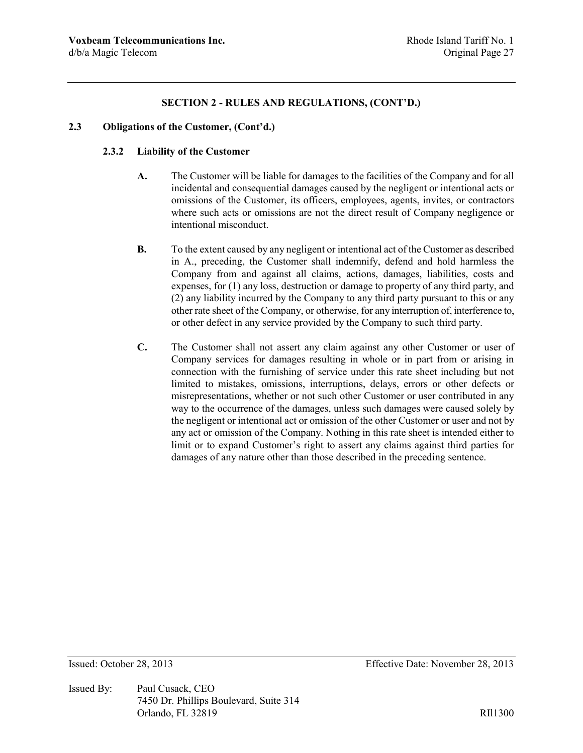#### **2.3 Obligations of the Customer, (Cont'd.)**

### **2.3.2 Liability of the Customer**

- **A.** The Customer will be liable for damages to the facilities of the Company and for all incidental and consequential damages caused by the negligent or intentional acts or omissions of the Customer, its officers, employees, agents, invites, or contractors where such acts or omissions are not the direct result of Company negligence or intentional misconduct.
- **B.** To the extent caused by any negligent or intentional act of the Customer as described in A., preceding, the Customer shall indemnify, defend and hold harmless the Company from and against all claims, actions, damages, liabilities, costs and expenses, for (1) any loss, destruction or damage to property of any third party, and (2) any liability incurred by the Company to any third party pursuant to this or any other rate sheet of the Company, or otherwise, for any interruption of, interference to, or other defect in any service provided by the Company to such third party.
- **C.** The Customer shall not assert any claim against any other Customer or user of Company services for damages resulting in whole or in part from or arising in connection with the furnishing of service under this rate sheet including but not limited to mistakes, omissions, interruptions, delays, errors or other defects or misrepresentations, whether or not such other Customer or user contributed in any way to the occurrence of the damages, unless such damages were caused solely by the negligent or intentional act or omission of the other Customer or user and not by any act or omission of the Company. Nothing in this rate sheet is intended either to limit or to expand Customer's right to assert any claims against third parties for damages of any nature other than those described in the preceding sentence.

Issued By: Paul Cusack, CEO 7450 Dr. Phillips Boulevard, Suite 314 Orlando, FL 32819 RII1300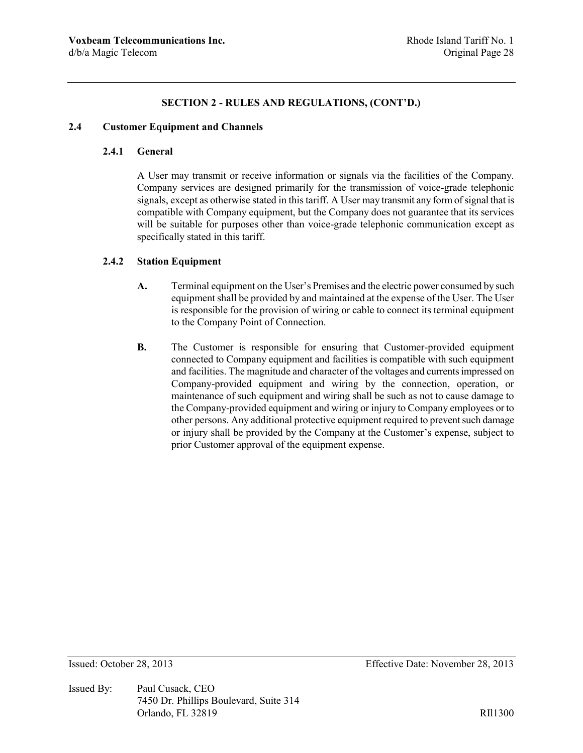#### **2.4 Customer Equipment and Channels**

### **2.4.1 General**

A User may transmit or receive information or signals via the facilities of the Company. Company services are designed primarily for the transmission of voice-grade telephonic signals, except as otherwise stated in this tariff. A User may transmit any form of signal that is compatible with Company equipment, but the Company does not guarantee that its services will be suitable for purposes other than voice-grade telephonic communication except as specifically stated in this tariff.

#### **2.4.2 Station Equipment**

- **A.** Terminal equipment on the User's Premises and the electric power consumed by such equipment shall be provided by and maintained at the expense of the User. The User is responsible for the provision of wiring or cable to connect its terminal equipment to the Company Point of Connection.
- **B.** The Customer is responsible for ensuring that Customer-provided equipment connected to Company equipment and facilities is compatible with such equipment and facilities. The magnitude and character of the voltages and currents impressed on Company-provided equipment and wiring by the connection, operation, or maintenance of such equipment and wiring shall be such as not to cause damage to the Company-provided equipment and wiring or injury to Company employees or to other persons. Any additional protective equipment required to prevent such damage or injury shall be provided by the Company at the Customer's expense, subject to prior Customer approval of the equipment expense.

Issued By: Paul Cusack, CEO 7450 Dr. Phillips Boulevard, Suite 314 Orlando, FL 32819 RII1300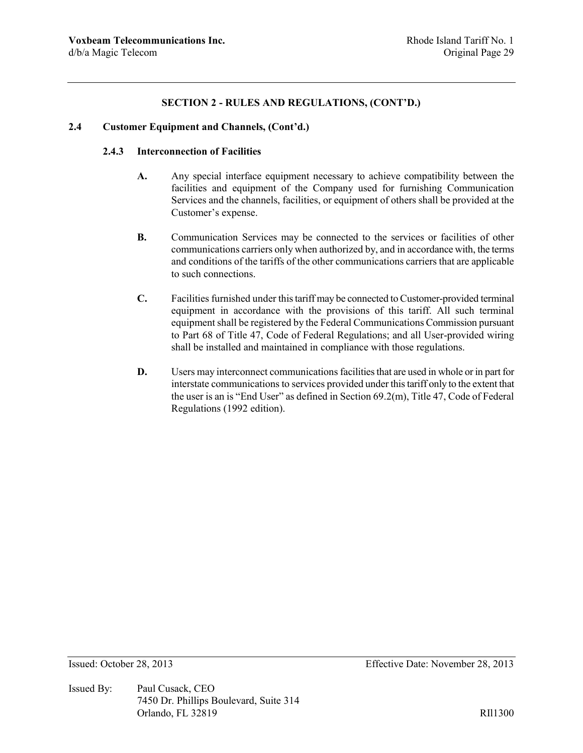#### **2.4 Customer Equipment and Channels, (Cont'd.)**

#### **2.4.3 Interconnection of Facilities**

- **A.** Any special interface equipment necessary to achieve compatibility between the facilities and equipment of the Company used for furnishing Communication Services and the channels, facilities, or equipment of others shall be provided at the Customer's expense.
- **B.** Communication Services may be connected to the services or facilities of other communications carriers only when authorized by, and in accordance with, the terms and conditions of the tariffs of the other communications carriers that are applicable to such connections.
- **C.** Facilities furnished under this tariff may be connected to Customer-provided terminal equipment in accordance with the provisions of this tariff. All such terminal equipment shall be registered by the Federal Communications Commission pursuant to Part 68 of Title 47, Code of Federal Regulations; and all User-provided wiring shall be installed and maintained in compliance with those regulations.
- **D.** Users may interconnect communications facilities that are used in whole or in part for interstate communications to services provided under this tariff only to the extent that the user is an is "End User" as defined in Section 69.2(m), Title 47, Code of Federal Regulations (1992 edition).

Issued By: Paul Cusack, CEO 7450 Dr. Phillips Boulevard, Suite 314 Orlando, FL 32819 RII1300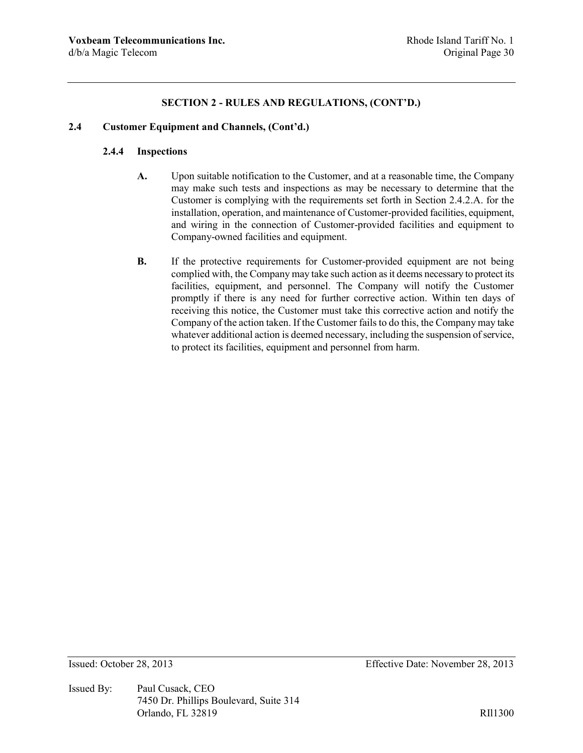#### **2.4 Customer Equipment and Channels, (Cont'd.)**

## **2.4.4 Inspections**

- **A.** Upon suitable notification to the Customer, and at a reasonable time, the Company may make such tests and inspections as may be necessary to determine that the Customer is complying with the requirements set forth in Section 2.4.2.A. for the installation, operation, and maintenance of Customer-provided facilities, equipment, and wiring in the connection of Customer-provided facilities and equipment to Company-owned facilities and equipment.
- **B.** If the protective requirements for Customer-provided equipment are not being complied with, the Company may take such action as it deems necessary to protect its facilities, equipment, and personnel. The Company will notify the Customer promptly if there is any need for further corrective action. Within ten days of receiving this notice, the Customer must take this corrective action and notify the Company of the action taken. If the Customer fails to do this, the Company may take whatever additional action is deemed necessary, including the suspension of service, to protect its facilities, equipment and personnel from harm.

Issued By: Paul Cusack, CEO 7450 Dr. Phillips Boulevard, Suite 314 Orlando, FL 32819 RIl1300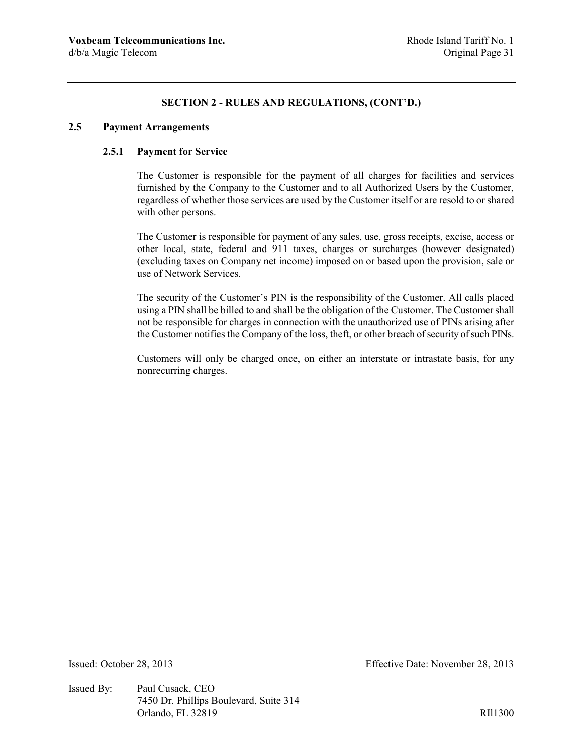#### **2.5 Payment Arrangements**

## **2.5.1 Payment for Service**

The Customer is responsible for the payment of all charges for facilities and services furnished by the Company to the Customer and to all Authorized Users by the Customer, regardless of whether those services are used by the Customer itself or are resold to or shared with other persons.

The Customer is responsible for payment of any sales, use, gross receipts, excise, access or other local, state, federal and 911 taxes, charges or surcharges (however designated) (excluding taxes on Company net income) imposed on or based upon the provision, sale or use of Network Services.

The security of the Customer's PIN is the responsibility of the Customer. All calls placed using a PIN shall be billed to and shall be the obligation of the Customer. The Customer shall not be responsible for charges in connection with the unauthorized use of PINs arising after the Customer notifies the Company of the loss, theft, or other breach of security of such PINs.

Customers will only be charged once, on either an interstate or intrastate basis, for any nonrecurring charges.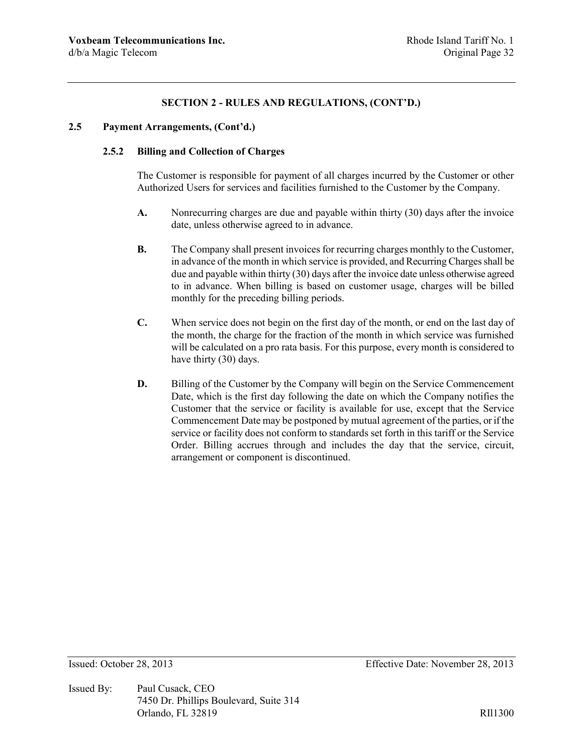### **2.5 Payment Arrangements, (Cont'd.)**

### **2.5.2 Billing and Collection of Charges**

The Customer is responsible for payment of all charges incurred by the Customer or other Authorized Users for services and facilities furnished to the Customer by the Company.

- **A.** Nonrecurring charges are due and payable within thirty (30) days after the invoice date, unless otherwise agreed to in advance.
- **B.** The Company shall present invoices for recurring charges monthly to the Customer, in advance of the month in which service is provided, and Recurring Charges shall be due and payable within thirty (30) days after the invoice date unless otherwise agreed to in advance. When billing is based on customer usage, charges will be billed monthly for the preceding billing periods.
- **C.** When service does not begin on the first day of the month, or end on the last day of the month, the charge for the fraction of the month in which service was furnished will be calculated on a pro rata basis. For this purpose, every month is considered to have thirty (30) days.
- **D.** Billing of the Customer by the Company will begin on the Service Commencement Date, which is the first day following the date on which the Company notifies the Customer that the service or facility is available for use, except that the Service Commencement Date may be postponed by mutual agreement of the parties, or if the service or facility does not conform to standards set forth in this tariff or the Service Order. Billing accrues through and includes the day that the service, circuit, arrangement or component is discontinued.

Issued By: Paul Cusack, CEO 7450 Dr. Phillips Boulevard, Suite 314 Orlando, FL 32819 RIl1300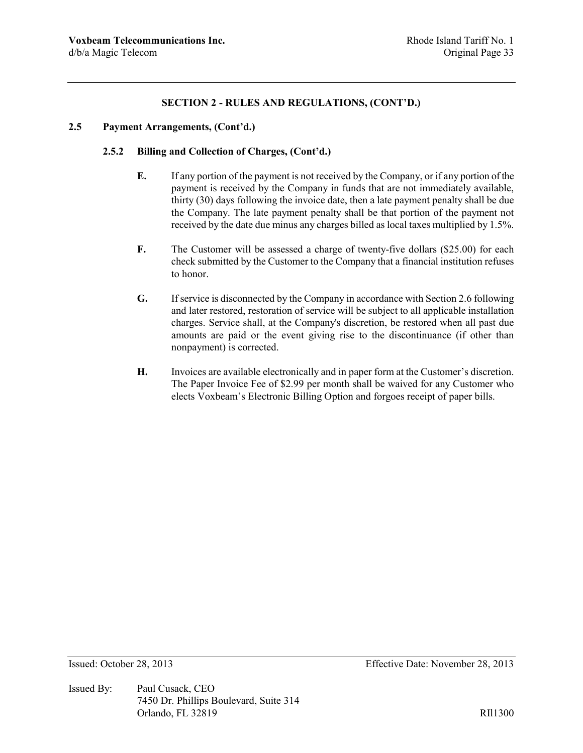## **2.5 Payment Arrangements, (Cont'd.)**

### **2.5.2 Billing and Collection of Charges, (Cont'd.)**

- **E.** If any portion of the payment is not received by the Company, or if any portion of the payment is received by the Company in funds that are not immediately available, thirty (30) days following the invoice date, then a late payment penalty shall be due the Company. The late payment penalty shall be that portion of the payment not received by the date due minus any charges billed as local taxes multiplied by 1.5%.
- **F.** The Customer will be assessed a charge of twenty-five dollars (\$25.00) for each check submitted by the Customer to the Company that a financial institution refuses to honor.
- **G.** If service is disconnected by the Company in accordance with Section 2.6 following and later restored, restoration of service will be subject to all applicable installation charges. Service shall, at the Company's discretion, be restored when all past due amounts are paid or the event giving rise to the discontinuance (if other than nonpayment) is corrected.
- **H.** Invoices are available electronically and in paper form at the Customer's discretion. The Paper Invoice Fee of \$2.99 per month shall be waived for any Customer who elects Voxbeam's Electronic Billing Option and forgoes receipt of paper bills.

Issued By: Paul Cusack, CEO 7450 Dr. Phillips Boulevard, Suite 314 Orlando, FL 32819 RII1300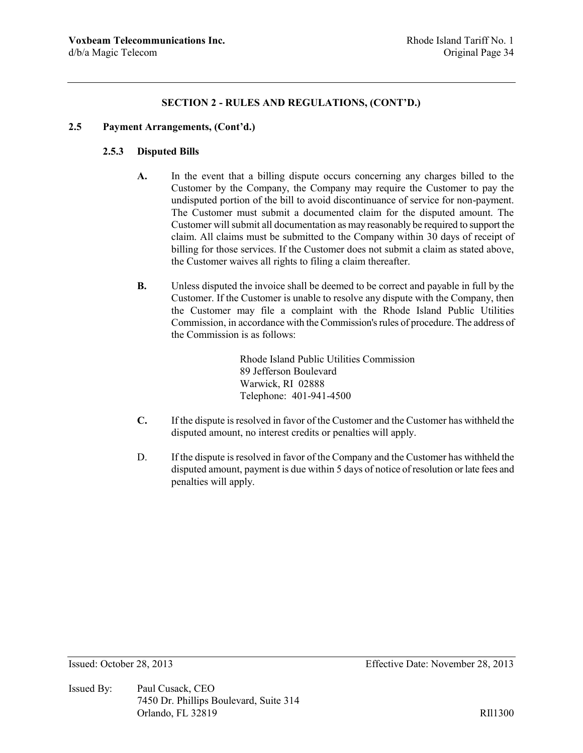#### **2.5 Payment Arrangements, (Cont'd.)**

## **2.5.3 Disputed Bills**

- **A.** In the event that a billing dispute occurs concerning any charges billed to the Customer by the Company, the Company may require the Customer to pay the undisputed portion of the bill to avoid discontinuance of service for non-payment. The Customer must submit a documented claim for the disputed amount. The Customer will submit all documentation as may reasonably be required to support the claim. All claims must be submitted to the Company within 30 days of receipt of billing for those services. If the Customer does not submit a claim as stated above, the Customer waives all rights to filing a claim thereafter.
- **B.** Unless disputed the invoice shall be deemed to be correct and payable in full by the Customer. If the Customer is unable to resolve any dispute with the Company, then the Customer may file a complaint with the Rhode Island Public Utilities Commission, in accordance with the Commission's rules of procedure. The address of the Commission is as follows:

Rhode Island Public Utilities Commission 89 Jefferson Boulevard Warwick, RI 02888 Telephone: 401-941-4500

- **C.** If the dispute is resolved in favor of the Customer and the Customer has withheld the disputed amount, no interest credits or penalties will apply.
- D. If the dispute is resolved in favor of the Company and the Customer has withheld the disputed amount, payment is due within 5 days of notice of resolution or late fees and penalties will apply.

Issued By: Paul Cusack, CEO 7450 Dr. Phillips Boulevard, Suite 314 Orlando, FL 32819 RII1300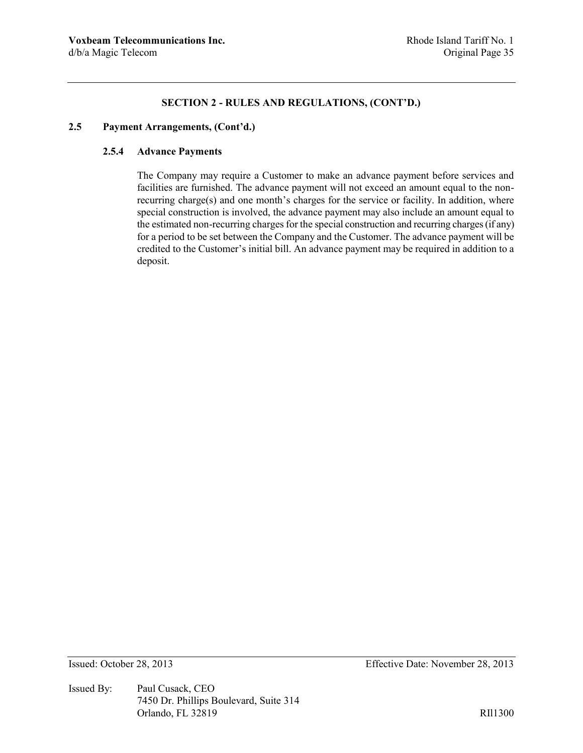#### **2.5 Payment Arrangements, (Cont'd.)**

## **2.5.4 Advance Payments**

The Company may require a Customer to make an advance payment before services and facilities are furnished. The advance payment will not exceed an amount equal to the nonrecurring charge(s) and one month's charges for the service or facility. In addition, where special construction is involved, the advance payment may also include an amount equal to the estimated non-recurring charges for the special construction and recurring charges (if any) for a period to be set between the Company and the Customer. The advance payment will be credited to the Customer's initial bill. An advance payment may be required in addition to a deposit.

Issued By: Paul Cusack, CEO 7450 Dr. Phillips Boulevard, Suite 314 Orlando, FL 32819 RIl1300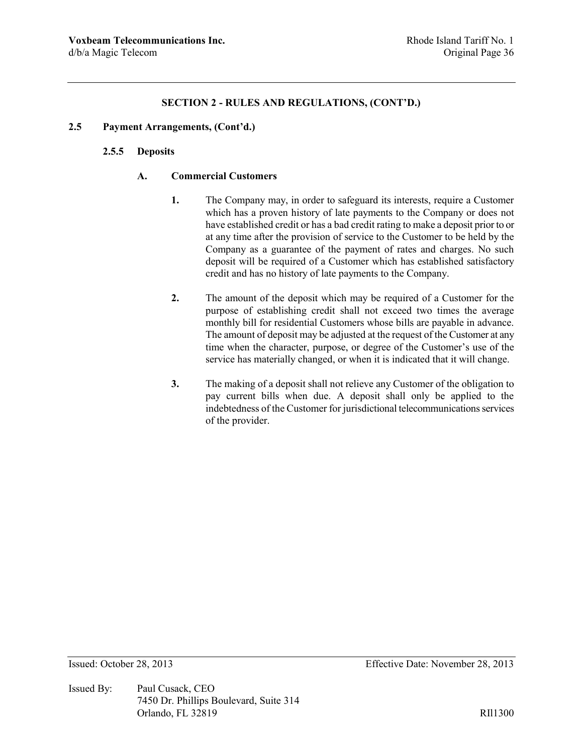### **2.5 Payment Arrangements, (Cont'd.)**

# **2.5.5 Deposits**

## **A. Commercial Customers**

- **1.** The Company may, in order to safeguard its interests, require a Customer which has a proven history of late payments to the Company or does not have established credit or has a bad credit rating to make a deposit prior to or at any time after the provision of service to the Customer to be held by the Company as a guarantee of the payment of rates and charges. No such deposit will be required of a Customer which has established satisfactory credit and has no history of late payments to the Company.
- **2.** The amount of the deposit which may be required of a Customer for the purpose of establishing credit shall not exceed two times the average monthly bill for residential Customers whose bills are payable in advance. The amount of deposit may be adjusted at the request of the Customer at any time when the character, purpose, or degree of the Customer's use of the service has materially changed, or when it is indicated that it will change.
- **3.** The making of a deposit shall not relieve any Customer of the obligation to pay current bills when due. A deposit shall only be applied to the indebtedness of the Customer for jurisdictional telecommunications services of the provider.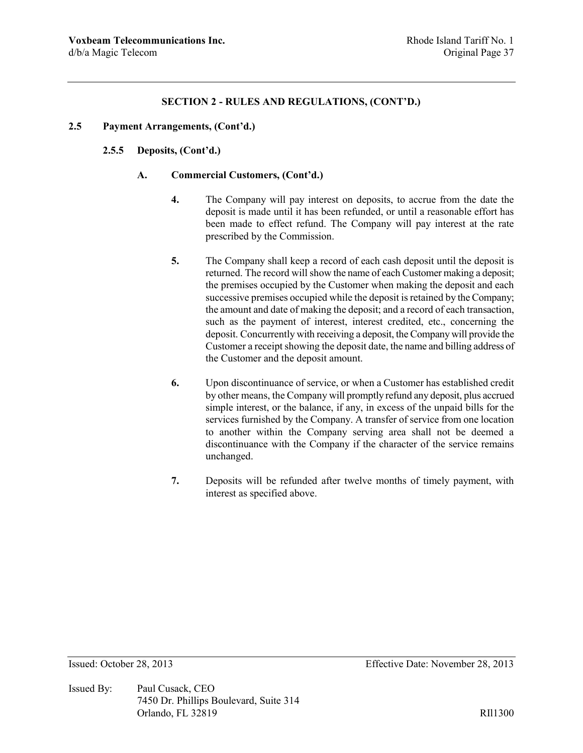### **2.5 Payment Arrangements, (Cont'd.)**

### **2.5.5 Deposits, (Cont'd.)**

### **A. Commercial Customers, (Cont'd.)**

- **4.** The Company will pay interest on deposits, to accrue from the date the deposit is made until it has been refunded, or until a reasonable effort has been made to effect refund. The Company will pay interest at the rate prescribed by the Commission.
- **5.** The Company shall keep a record of each cash deposit until the deposit is returned. The record will show the name of each Customer making a deposit; the premises occupied by the Customer when making the deposit and each successive premises occupied while the deposit is retained by the Company; the amount and date of making the deposit; and a record of each transaction, such as the payment of interest, interest credited, etc., concerning the deposit. Concurrently with receiving a deposit, the Company will provide the Customer a receipt showing the deposit date, the name and billing address of the Customer and the deposit amount.
- **6.** Upon discontinuance of service, or when a Customer has established credit by other means, the Company will promptly refund any deposit, plus accrued simple interest, or the balance, if any, in excess of the unpaid bills for the services furnished by the Company. A transfer of service from one location to another within the Company serving area shall not be deemed a discontinuance with the Company if the character of the service remains unchanged.
- **7.** Deposits will be refunded after twelve months of timely payment, with interest as specified above.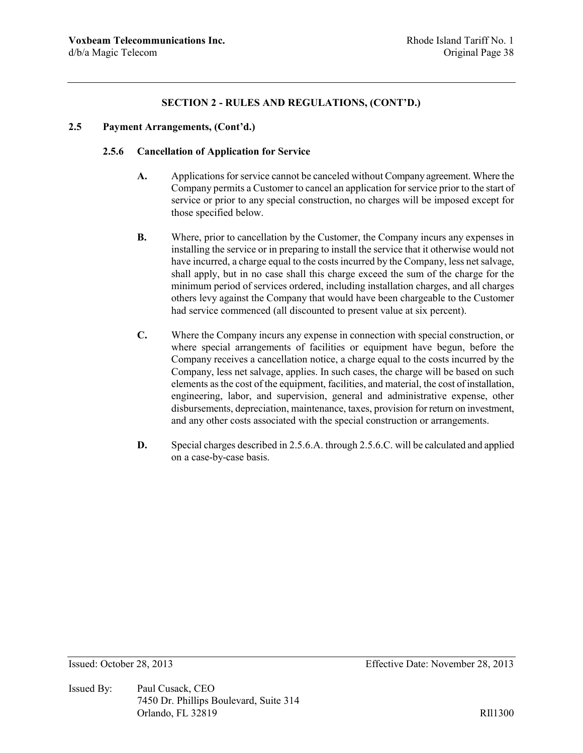## **2.5 Payment Arrangements, (Cont'd.)**

## **2.5.6 Cancellation of Application for Service**

- **A.** Applications for service cannot be canceled without Company agreement. Where the Company permits a Customer to cancel an application for service prior to the start of service or prior to any special construction, no charges will be imposed except for those specified below.
- **B.** Where, prior to cancellation by the Customer, the Company incurs any expenses in installing the service or in preparing to install the service that it otherwise would not have incurred, a charge equal to the costs incurred by the Company, less net salvage, shall apply, but in no case shall this charge exceed the sum of the charge for the minimum period of services ordered, including installation charges, and all charges others levy against the Company that would have been chargeable to the Customer had service commenced (all discounted to present value at six percent).
- **C.** Where the Company incurs any expense in connection with special construction, or where special arrangements of facilities or equipment have begun, before the Company receives a cancellation notice, a charge equal to the costs incurred by the Company, less net salvage, applies. In such cases, the charge will be based on such elements as the cost of the equipment, facilities, and material, the cost of installation, engineering, labor, and supervision, general and administrative expense, other disbursements, depreciation, maintenance, taxes, provision for return on investment, and any other costs associated with the special construction or arrangements.
- **D.** Special charges described in 2.5.6.A. through 2.5.6.C. will be calculated and applied on a case-by-case basis.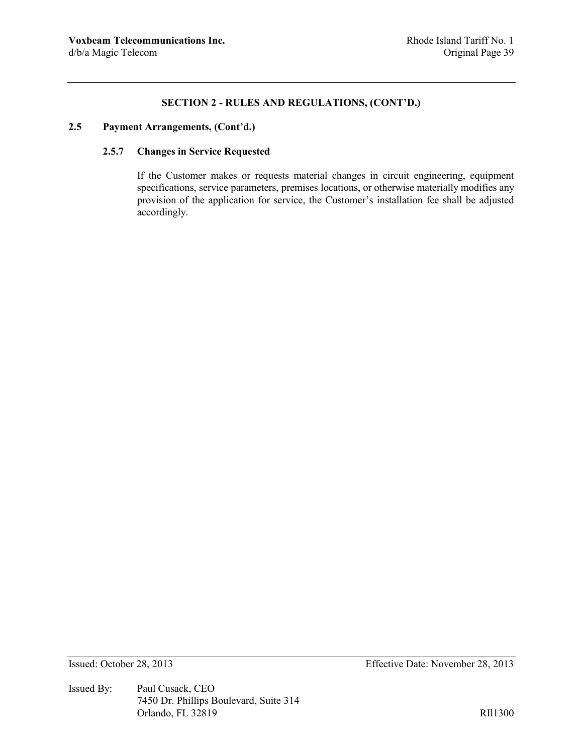# **2.5 Payment Arrangements, (Cont'd.)**

### **2.5.7 Changes in Service Requested**

If the Customer makes or requests material changes in circuit engineering, equipment specifications, service parameters, premises locations, or otherwise materially modifies any provision of the application for service, the Customer's installation fee shall be adjusted accordingly.

Issued By: Paul Cusack, CEO 7450 Dr. Phillips Boulevard, Suite 314 Orlando, FL 32819 RIl1300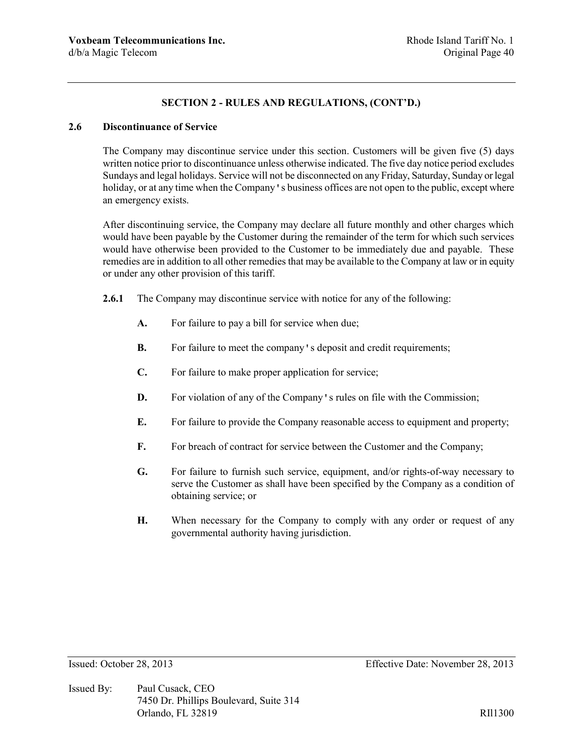# **2.6 Discontinuance of Service**

The Company may discontinue service under this section. Customers will be given five (5) days written notice prior to discontinuance unless otherwise indicated. The five day notice period excludes Sundays and legal holidays. Service will not be disconnected on any Friday, Saturday, Sunday or legal holiday, or at any time when the Company's business offices are not open to the public, except where an emergency exists.

After discontinuing service, the Company may declare all future monthly and other charges which would have been payable by the Customer during the remainder of the term for which such services would have otherwise been provided to the Customer to be immediately due and payable. These remedies are in addition to all other remedies that may be available to the Company at law or in equity or under any other provision of this tariff.

- **2.6.1** The Company may discontinue service with notice for any of the following:
	- **A.** For failure to pay a bill for service when due;
	- **B.** For failure to meet the company's deposit and credit requirements;
	- **C.** For failure to make proper application for service;
	- **D.** For violation of any of the Company's rules on file with the Commission;
	- **E.** For failure to provide the Company reasonable access to equipment and property;
	- **F.** For breach of contract for service between the Customer and the Company;
	- **G.** For failure to furnish such service, equipment, and/or rights-of-way necessary to serve the Customer as shall have been specified by the Company as a condition of obtaining service; or
	- **H.** When necessary for the Company to comply with any order or request of any governmental authority having jurisdiction.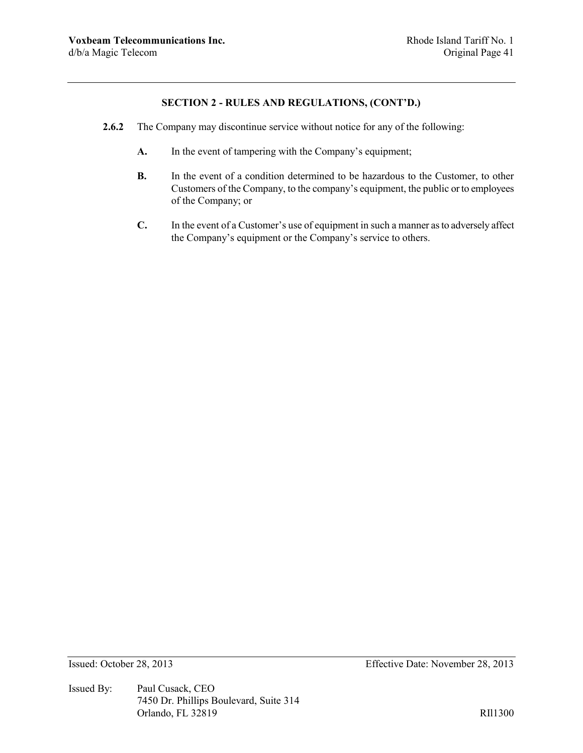- **2.6.2** The Company may discontinue service without notice for any of the following:
	- **A.** In the event of tampering with the Company's equipment;
	- **B.** In the event of a condition determined to be hazardous to the Customer, to other Customers of the Company, to the company's equipment, the public or to employees of the Company; or
	- **C.** In the event of a Customer's use of equipment in such a manner as to adversely affect the Company's equipment or the Company's service to others.

Issued By: Paul Cusack, CEO 7450 Dr. Phillips Boulevard, Suite 314 Orlando, FL 32819 RIl1300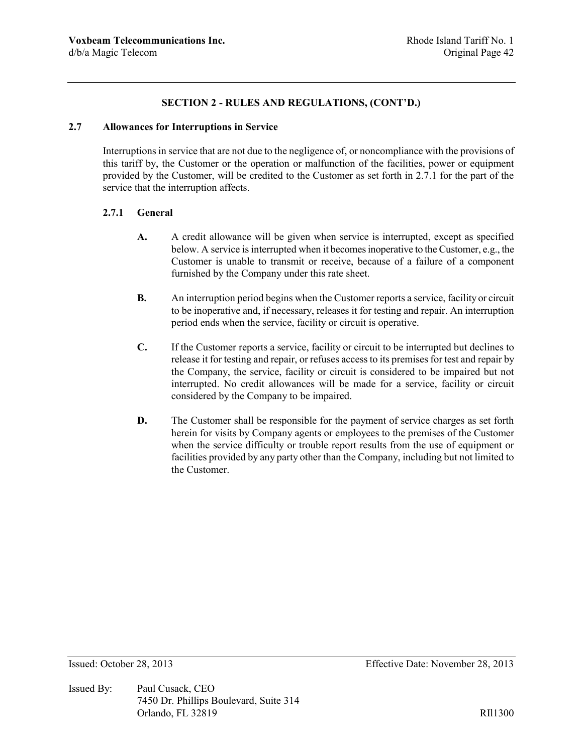### **2.7 Allowances for Interruptions in Service**

Interruptions in service that are not due to the negligence of, or noncompliance with the provisions of this tariff by, the Customer or the operation or malfunction of the facilities, power or equipment provided by the Customer, will be credited to the Customer as set forth in 2.7.1 for the part of the service that the interruption affects.

### **2.7.1 General**

- **A.** A credit allowance will be given when service is interrupted, except as specified below. A service is interrupted when it becomes inoperative to the Customer, e.g., the Customer is unable to transmit or receive, because of a failure of a component furnished by the Company under this rate sheet.
- **B.** An interruption period begins when the Customer reports a service, facility or circuit to be inoperative and, if necessary, releases it for testing and repair. An interruption period ends when the service, facility or circuit is operative.
- **C.** If the Customer reports a service, facility or circuit to be interrupted but declines to release it for testing and repair, or refuses access to its premises for test and repair by the Company, the service, facility or circuit is considered to be impaired but not interrupted. No credit allowances will be made for a service, facility or circuit considered by the Company to be impaired.
- **D.** The Customer shall be responsible for the payment of service charges as set forth herein for visits by Company agents or employees to the premises of the Customer when the service difficulty or trouble report results from the use of equipment or facilities provided by any party other than the Company, including but not limited to the Customer.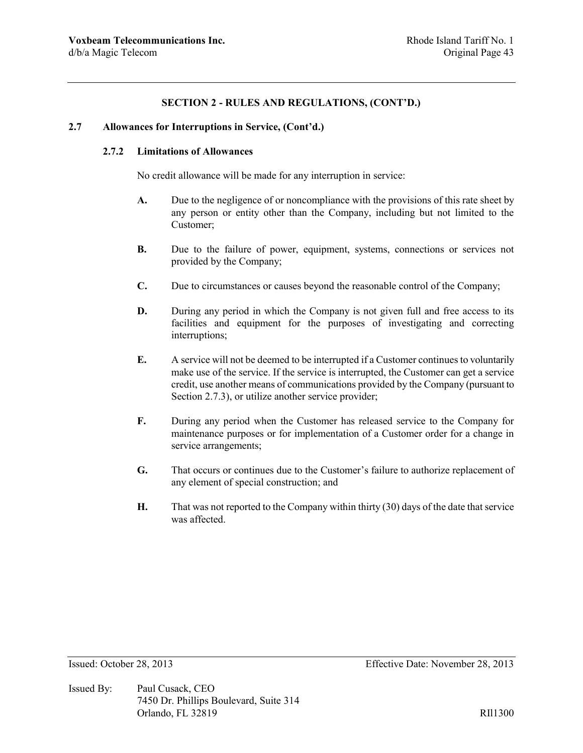### **2.7 Allowances for Interruptions in Service, (Cont'd.)**

## **2.7.2 Limitations of Allowances**

No credit allowance will be made for any interruption in service:

- **A.** Due to the negligence of or noncompliance with the provisions of this rate sheet by any person or entity other than the Company, including but not limited to the Customer;
- **B.** Due to the failure of power, equipment, systems, connections or services not provided by the Company;
- **C.** Due to circumstances or causes beyond the reasonable control of the Company;
- **D.** During any period in which the Company is not given full and free access to its facilities and equipment for the purposes of investigating and correcting interruptions;
- **E.** A service will not be deemed to be interrupted if a Customer continues to voluntarily make use of the service. If the service is interrupted, the Customer can get a service credit, use another means of communications provided by the Company (pursuant to Section 2.7.3), or utilize another service provider;
- **F.** During any period when the Customer has released service to the Company for maintenance purposes or for implementation of a Customer order for a change in service arrangements;
- **G.** That occurs or continues due to the Customer's failure to authorize replacement of any element of special construction; and
- **H.** That was not reported to the Company within thirty (30) days of the date that service was affected.

Issued By: Paul Cusack, CEO 7450 Dr. Phillips Boulevard, Suite 314 Orlando, FL 32819 RII1300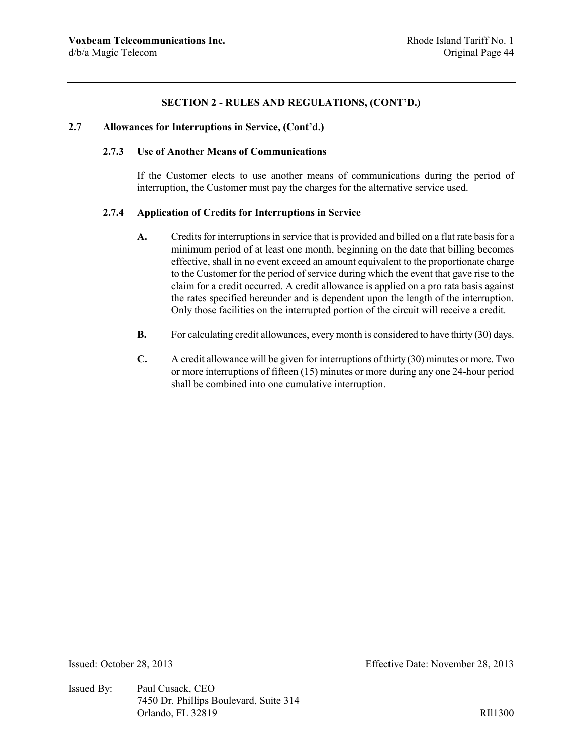### **2.7 Allowances for Interruptions in Service, (Cont'd.)**

## **2.7.3 Use of Another Means of Communications**

If the Customer elects to use another means of communications during the period of interruption, the Customer must pay the charges for the alternative service used.

#### **2.7.4 Application of Credits for Interruptions in Service**

- **A.** Credits for interruptions in service that is provided and billed on a flat rate basis for a minimum period of at least one month, beginning on the date that billing becomes effective, shall in no event exceed an amount equivalent to the proportionate charge to the Customer for the period of service during which the event that gave rise to the claim for a credit occurred. A credit allowance is applied on a pro rata basis against the rates specified hereunder and is dependent upon the length of the interruption. Only those facilities on the interrupted portion of the circuit will receive a credit.
- **B.** For calculating credit allowances, every month is considered to have thirty (30) days.
- **C.** A credit allowance will be given for interruptions of thirty (30) minutes or more. Two or more interruptions of fifteen (15) minutes or more during any one 24-hour period shall be combined into one cumulative interruption.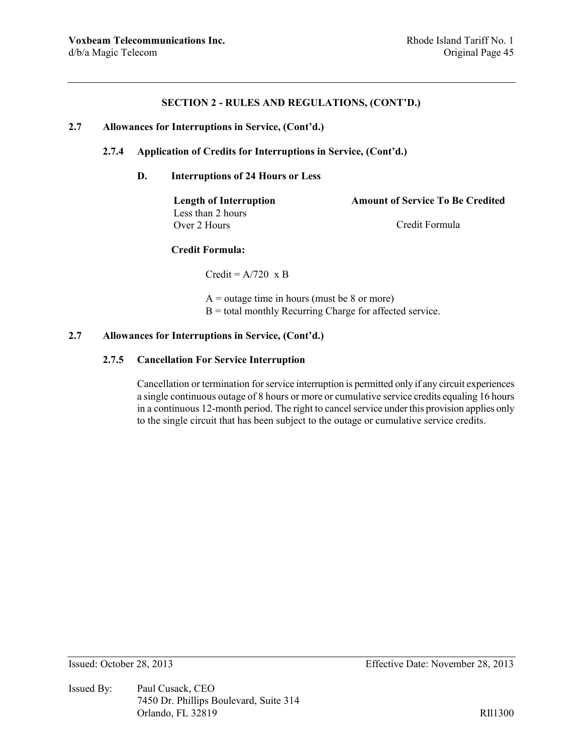### **2.7 Allowances for Interruptions in Service, (Cont'd.)**

# **2.7.4 Application of Credits for Interruptions in Service, (Cont'd.)**

### **D. Interruptions of 24 Hours or Less**

Less than 2 hours Over 2 Hours Credit Formula

**Length of Interruption Amount of Service To Be Credited**

### **Credit Formula:**

 $Credit = A/720 \times B$ 

 $A =$  outage time in hours (must be 8 or more)  $B =$  total monthly Recurring Charge for affected service.

## **2.7 Allowances for Interruptions in Service, (Cont'd.)**

### **2.7.5 Cancellation For Service Interruption**

Cancellation or termination for service interruption is permitted only if any circuit experiences a single continuous outage of 8 hours or more or cumulative service credits equaling 16 hours in a continuous 12-month period. The right to cancel service under this provision applies only to the single circuit that has been subject to the outage or cumulative service credits.

Issued By: Paul Cusack, CEO 7450 Dr. Phillips Boulevard, Suite 314 Orlando, FL 32819 RIl1300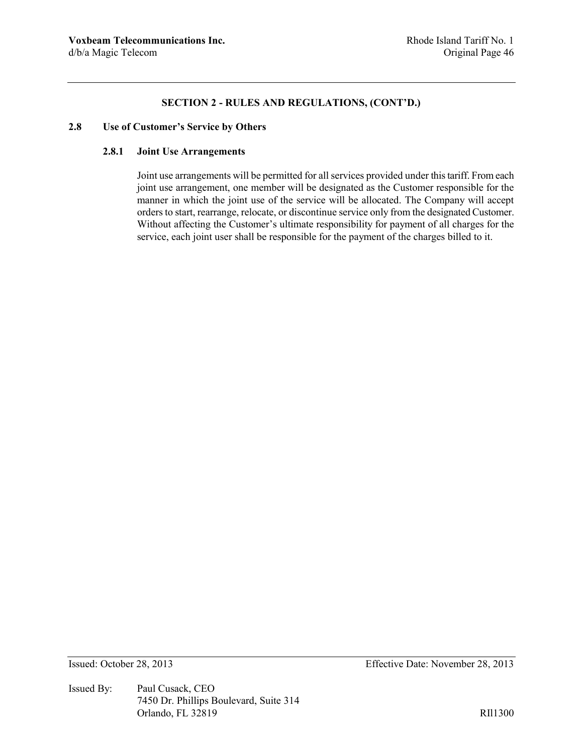# **2.8 Use of Customer's Service by Others**

# **2.8.1 Joint Use Arrangements**

Joint use arrangements will be permitted for all services provided under this tariff. From each joint use arrangement, one member will be designated as the Customer responsible for the manner in which the joint use of the service will be allocated. The Company will accept orders to start, rearrange, relocate, or discontinue service only from the designated Customer. Without affecting the Customer's ultimate responsibility for payment of all charges for the service, each joint user shall be responsible for the payment of the charges billed to it.

Issued By: Paul Cusack, CEO 7450 Dr. Phillips Boulevard, Suite 314 Orlando, FL 32819 RIl1300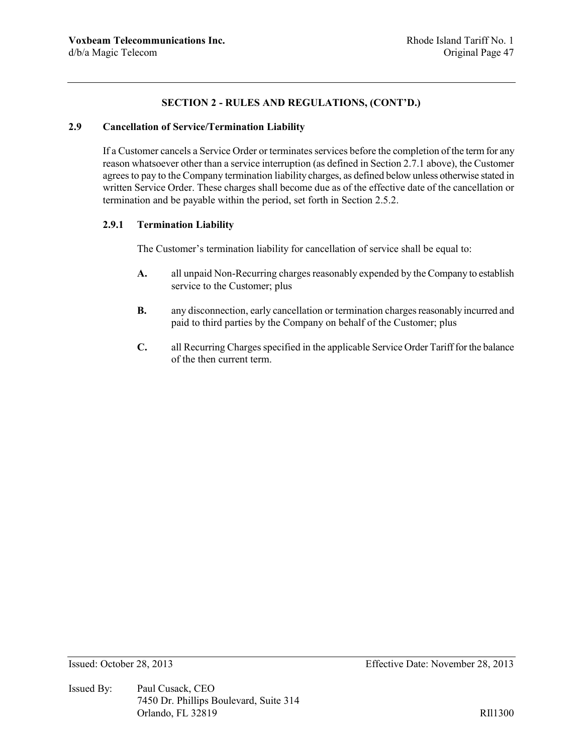# **2.9 Cancellation of Service/Termination Liability**

If a Customer cancels a Service Order or terminates services before the completion of the term for any reason whatsoever other than a service interruption (as defined in Section 2.7.1 above), the Customer agrees to pay to the Company termination liability charges, as defined below unless otherwise stated in written Service Order. These charges shall become due as of the effective date of the cancellation or termination and be payable within the period, set forth in Section 2.5.2.

# **2.9.1 Termination Liability**

The Customer's termination liability for cancellation of service shall be equal to:

- **A.** all unpaid Non-Recurring charges reasonably expended by the Company to establish service to the Customer; plus
- **B.** any disconnection, early cancellation or termination charges reasonably incurred and paid to third parties by the Company on behalf of the Customer; plus
- **C.** all Recurring Charges specified in the applicable Service Order Tariff for the balance of the then current term.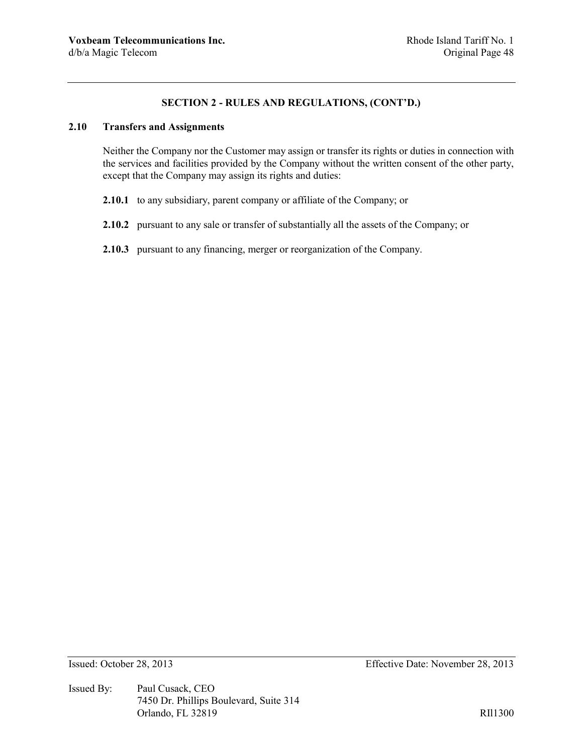# **2.10 Transfers and Assignments**

Neither the Company nor the Customer may assign or transfer its rights or duties in connection with the services and facilities provided by the Company without the written consent of the other party, except that the Company may assign its rights and duties:

- **2.10.1** to any subsidiary, parent company or affiliate of the Company; or
- **2.10.2** pursuant to any sale or transfer of substantially all the assets of the Company; or
- **2.10.3** pursuant to any financing, merger or reorganization of the Company.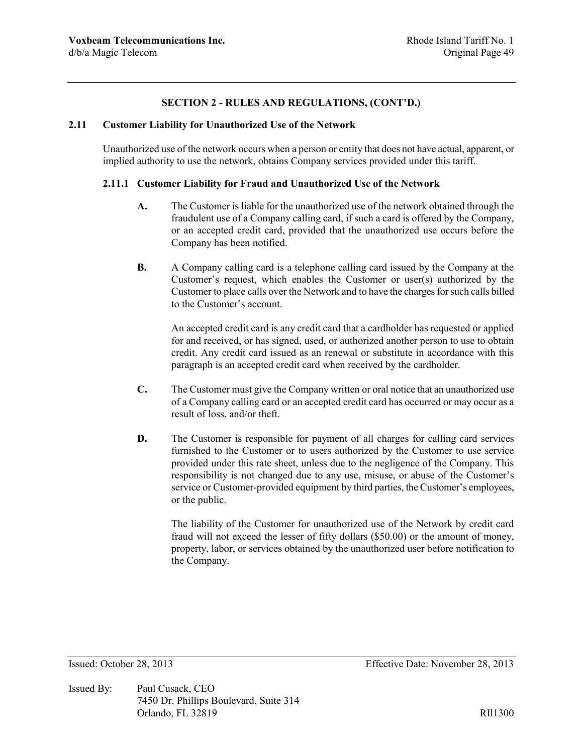### **2.11 Customer Liability for Unauthorized Use of the Network**

Unauthorized use of the network occurs when a person or entity that does not have actual, apparent, or implied authority to use the network, obtains Company services provided under this tariff.

## **2.11.1 Customer Liability for Fraud and Unauthorized Use of the Network**

- **A.** The Customer is liable for the unauthorized use of the network obtained through the fraudulent use of a Company calling card, if such a card is offered by the Company, or an accepted credit card, provided that the unauthorized use occurs before the Company has been notified.
- **B.** A Company calling card is a telephone calling card issued by the Company at the Customer's request, which enables the Customer or user(s) authorized by the Customer to place calls over the Network and to have the charges for such calls billed to the Customer's account.

An accepted credit card is any credit card that a cardholder has requested or applied for and received, or has signed, used, or authorized another person to use to obtain credit. Any credit card issued as an renewal or substitute in accordance with this paragraph is an accepted credit card when received by the cardholder.

- **C.** The Customer must give the Company written or oral notice that an unauthorized use of a Company calling card or an accepted credit card has occurred or may occur as a result of loss, and/or theft.
- **D.** The Customer is responsible for payment of all charges for calling card services furnished to the Customer or to users authorized by the Customer to use service provided under this rate sheet, unless due to the negligence of the Company. This responsibility is not changed due to any use, misuse, or abuse of the Customer's service or Customer-provided equipment by third parties, the Customer's employees, or the public.

The liability of the Customer for unauthorized use of the Network by credit card fraud will not exceed the lesser of fifty dollars (\$50.00) or the amount of money, property, labor, or services obtained by the unauthorized user before notification to the Company.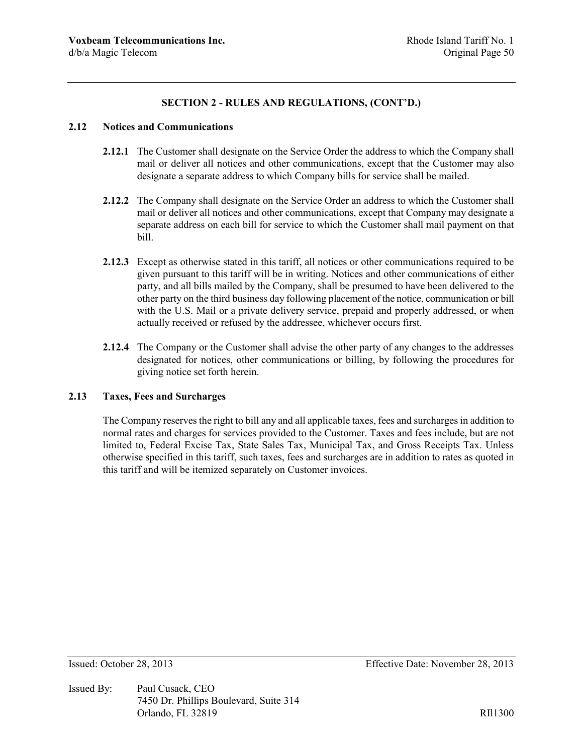### **2.12 Notices and Communications**

- **2.12.1** The Customer shall designate on the Service Order the address to which the Company shall mail or deliver all notices and other communications, except that the Customer may also designate a separate address to which Company bills for service shall be mailed.
- **2.12.2** The Company shall designate on the Service Order an address to which the Customer shall mail or deliver all notices and other communications, except that Company may designate a separate address on each bill for service to which the Customer shall mail payment on that bill.
- **2.12.3** Except as otherwise stated in this tariff, all notices or other communications required to be given pursuant to this tariff will be in writing. Notices and other communications of either party, and all bills mailed by the Company, shall be presumed to have been delivered to the other party on the third business day following placement of the notice, communication or bill with the U.S. Mail or a private delivery service, prepaid and properly addressed, or when actually received or refused by the addressee, whichever occurs first.
- **2.12.4** The Company or the Customer shall advise the other party of any changes to the addresses designated for notices, other communications or billing, by following the procedures for giving notice set forth herein.

# **2.13 Taxes, Fees and Surcharges**

The Company reserves the right to bill any and all applicable taxes, fees and surcharges in addition to normal rates and charges for services provided to the Customer. Taxes and fees include, but are not limited to, Federal Excise Tax, State Sales Tax, Municipal Tax, and Gross Receipts Tax. Unless otherwise specified in this tariff, such taxes, fees and surcharges are in addition to rates as quoted in this tariff and will be itemized separately on Customer invoices.

Issued By: Paul Cusack, CEO 7450 Dr. Phillips Boulevard, Suite 314 Orlando, FL 32819 RII1300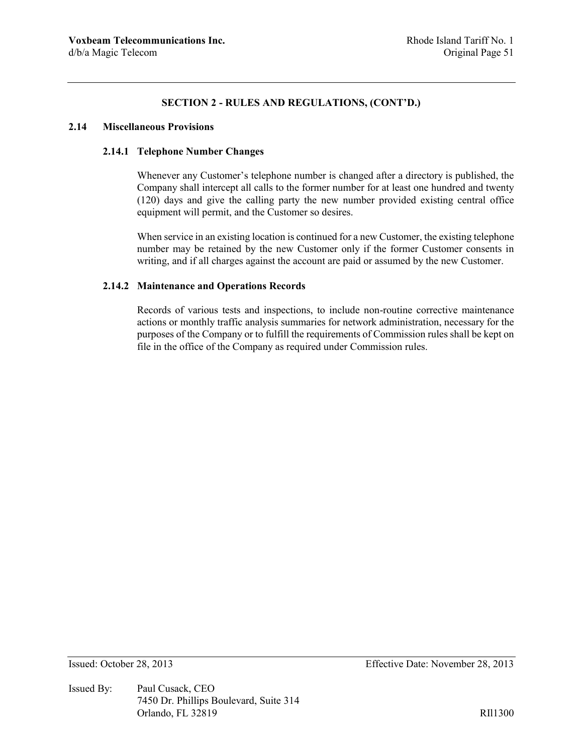### **2.14 Miscellaneous Provisions**

## **2.14.1 Telephone Number Changes**

Whenever any Customer's telephone number is changed after a directory is published, the Company shall intercept all calls to the former number for at least one hundred and twenty (120) days and give the calling party the new number provided existing central office equipment will permit, and the Customer so desires.

When service in an existing location is continued for a new Customer, the existing telephone number may be retained by the new Customer only if the former Customer consents in writing, and if all charges against the account are paid or assumed by the new Customer.

### **2.14.2 Maintenance and Operations Records**

Records of various tests and inspections, to include non-routine corrective maintenance actions or monthly traffic analysis summaries for network administration, necessary for the purposes of the Company or to fulfill the requirements of Commission rules shall be kept on file in the office of the Company as required under Commission rules.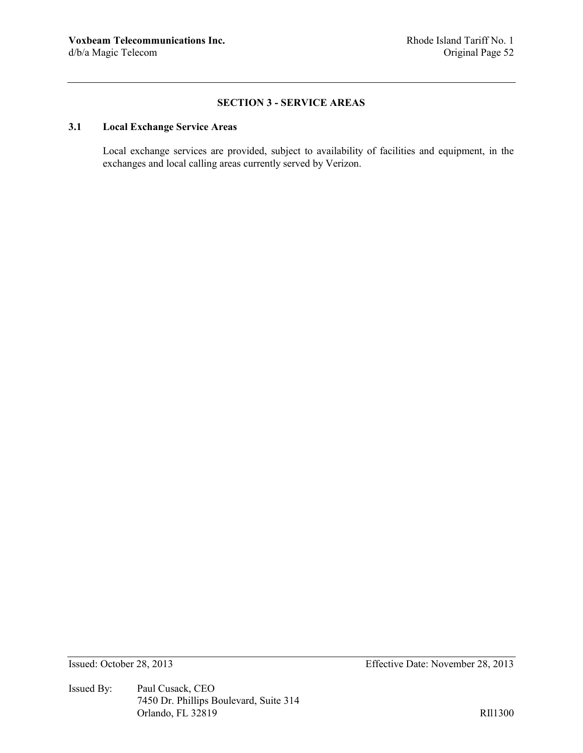## **SECTION 3 - SERVICE AREAS**

# **3.1 Local Exchange Service Areas**

Local exchange services are provided, subject to availability of facilities and equipment, in the exchanges and local calling areas currently served by Verizon.

Issued By: Paul Cusack, CEO 7450 Dr. Phillips Boulevard, Suite 314 Orlando, FL 32819 RIl1300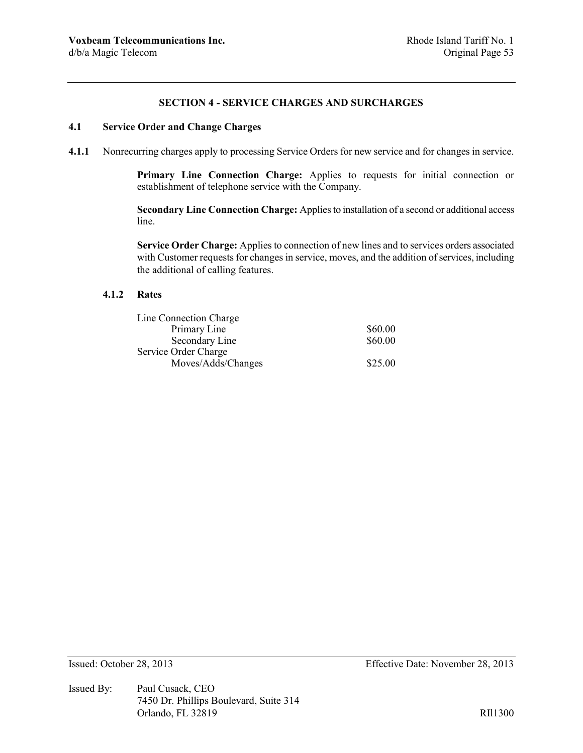### **SECTION 4 - SERVICE CHARGES AND SURCHARGES**

# **4.1 Service Order and Change Charges**

**4.1.1** Nonrecurring charges apply to processing Service Orders for new service and for changes in service.

**Primary Line Connection Charge:** Applies to requests for initial connection or establishment of telephone service with the Company.

**Secondary Line Connection Charge:** Applies to installation of a second or additional access line.

**Service Order Charge:** Applies to connection of new lines and to services orders associated with Customer requests for changes in service, moves, and the addition of services, including the additional of calling features.

### **4.1.2 Rates**

| Line Connection Charge |         |
|------------------------|---------|
| Primary Line           | \$60.00 |
| Secondary Line         | \$60.00 |
| Service Order Charge   |         |
| Moves/Adds/Changes     | \$25.00 |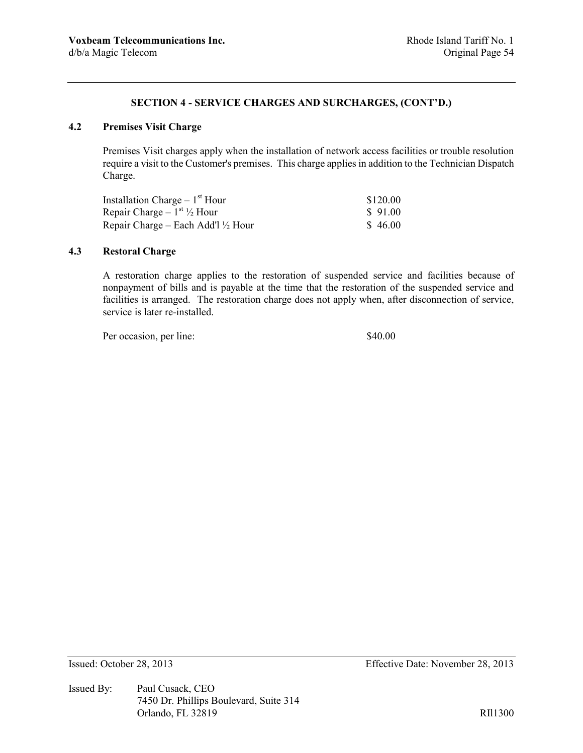# **4.2 Premises Visit Charge**

Premises Visit charges apply when the installation of network access facilities or trouble resolution require a visit to the Customer's premises. This charge applies in addition to the Technician Dispatch Charge.

| Installation Charge $-1st$ Hour               | \$120.00 |
|-----------------------------------------------|----------|
| Repair Charge – $1^{st}$ 1/2 Hour             | \$91.00  |
| Repair Charge – Each Add'l $\frac{1}{2}$ Hour | \$46.00  |

# **4.3 Restoral Charge**

A restoration charge applies to the restoration of suspended service and facilities because of nonpayment of bills and is payable at the time that the restoration of the suspended service and facilities is arranged. The restoration charge does not apply when, after disconnection of service, service is later re-installed.

Per occasion, per line:  $$40.00$ 

Issued By: Paul Cusack, CEO 7450 Dr. Phillips Boulevard, Suite 314 Orlando, FL 32819 RIl1300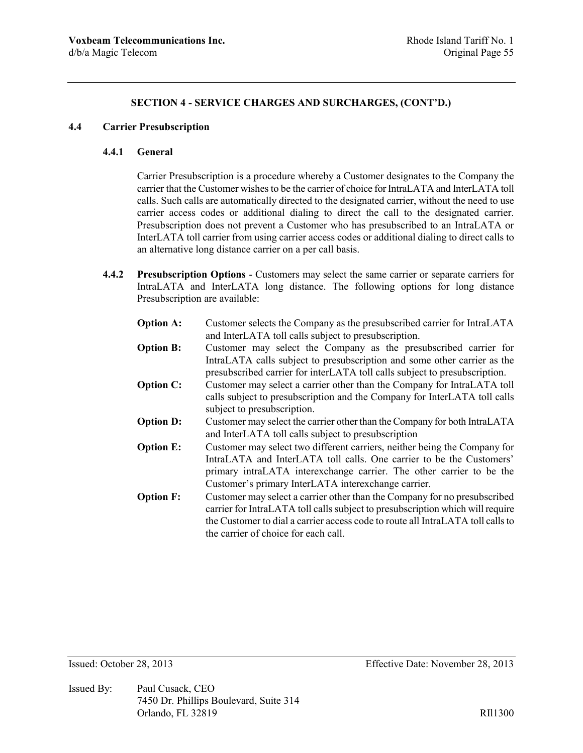### **4.4 Carrier Presubscription**

### **4.4.1 General**

Carrier Presubscription is a procedure whereby a Customer designates to the Company the carrier that the Customer wishes to be the carrier of choice for IntraLATA and InterLATA toll calls. Such calls are automatically directed to the designated carrier, without the need to use carrier access codes or additional dialing to direct the call to the designated carrier. Presubscription does not prevent a Customer who has presubscribed to an IntraLATA or InterLATA toll carrier from using carrier access codes or additional dialing to direct calls to an alternative long distance carrier on a per call basis.

- **4.4.2 Presubscription Options** Customers may select the same carrier or separate carriers for IntraLATA and InterLATA long distance. The following options for long distance Presubscription are available:
	- **Option A:** Customer selects the Company as the presubscribed carrier for IntraLATA and InterLATA toll calls subject to presubscription.
	- **Option B:** Customer may select the Company as the presubscribed carrier for IntraLATA calls subject to presubscription and some other carrier as the presubscribed carrier for interLATA toll calls subject to presubscription.
	- **Option C:** Customer may select a carrier other than the Company for IntraLATA toll calls subject to presubscription and the Company for InterLATA toll calls subject to presubscription.
	- **Option D:** Customer may select the carrier other than the Company for both IntraLATA and InterLATA toll calls subject to presubscription
	- **Option E:** Customer may select two different carriers, neither being the Company for IntraLATA and InterLATA toll calls. One carrier to be the Customers' primary intraLATA interexchange carrier. The other carrier to be the Customer's primary InterLATA interexchange carrier.
	- **Option F:** Customer may select a carrier other than the Company for no presubscribed carrier for IntraLATA toll calls subject to presubscription which will require the Customer to dial a carrier access code to route all IntraLATA toll calls to the carrier of choice for each call.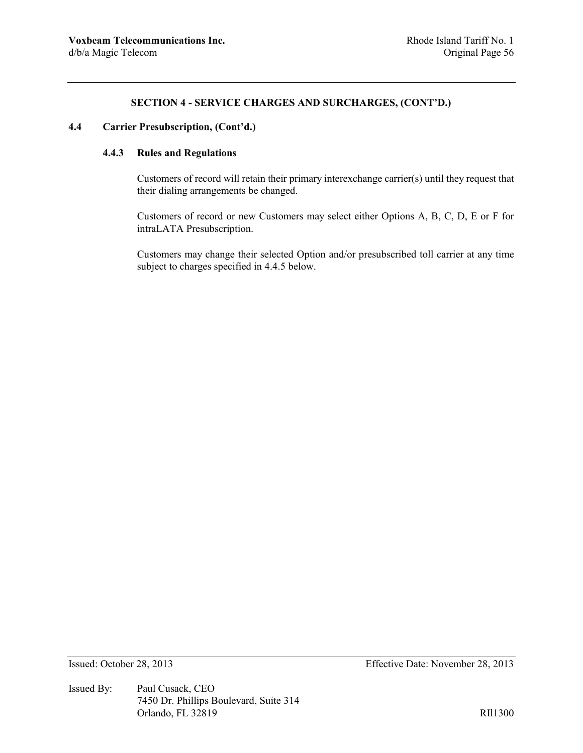# **4.4 Carrier Presubscription, (Cont'd.)**

# **4.4.3 Rules and Regulations**

Customers of record will retain their primary interexchange carrier(s) until they request that their dialing arrangements be changed.

Customers of record or new Customers may select either Options A, B, C, D, E or F for intraLATA Presubscription.

Customers may change their selected Option and/or presubscribed toll carrier at any time subject to charges specified in 4.4.5 below.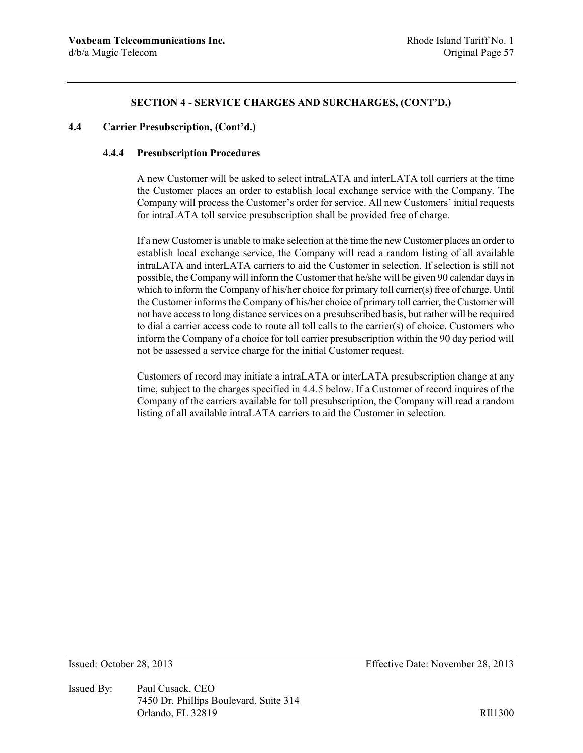# **4.4 Carrier Presubscription, (Cont'd.)**

### **4.4.4 Presubscription Procedures**

A new Customer will be asked to select intraLATA and interLATA toll carriers at the time the Customer places an order to establish local exchange service with the Company. The Company will process the Customer's order for service. All new Customers' initial requests for intraLATA toll service presubscription shall be provided free of charge.

If a new Customer is unable to make selection at the time the new Customer places an order to establish local exchange service, the Company will read a random listing of all available intraLATA and interLATA carriers to aid the Customer in selection. If selection is still not possible, the Company will inform the Customer that he/she will be given 90 calendar days in which to inform the Company of his/her choice for primary toll carrier(s) free of charge. Until the Customer informs the Company of his/her choice of primary toll carrier, the Customer will not have access to long distance services on a presubscribed basis, but rather will be required to dial a carrier access code to route all toll calls to the carrier(s) of choice. Customers who inform the Company of a choice for toll carrier presubscription within the 90 day period will not be assessed a service charge for the initial Customer request.

Customers of record may initiate a intraLATA or interLATA presubscription change at any time, subject to the charges specified in 4.4.5 below. If a Customer of record inquires of the Company of the carriers available for toll presubscription, the Company will read a random listing of all available intraLATA carriers to aid the Customer in selection.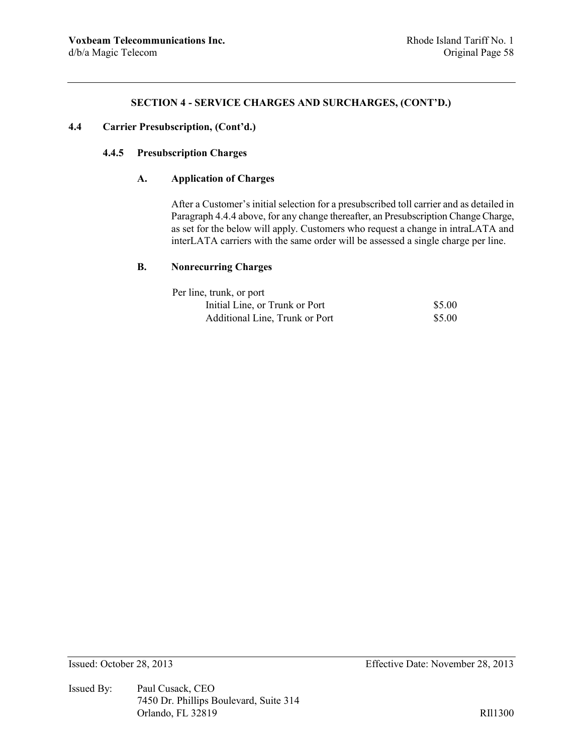# **4.4 Carrier Presubscription, (Cont'd.)**

# **4.4.5 Presubscription Charges**

# **A. Application of Charges**

After a Customer's initial selection for a presubscribed toll carrier and as detailed in Paragraph 4.4.4 above, for any change thereafter, an Presubscription Change Charge, as set for the below will apply. Customers who request a change in intraLATA and interLATA carriers with the same order will be assessed a single charge per line.

# **B. Nonrecurring Charges**

| Per line, trunk, or port       |        |
|--------------------------------|--------|
| Initial Line, or Trunk or Port | \$5.00 |
| Additional Line, Trunk or Port | \$5.00 |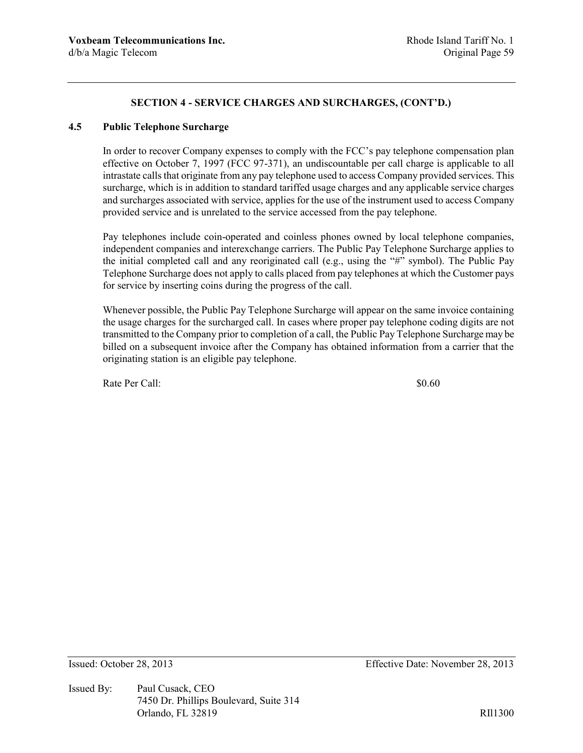## **4.5 Public Telephone Surcharge**

In order to recover Company expenses to comply with the FCC's pay telephone compensation plan effective on October 7, 1997 (FCC 97-371), an undiscountable per call charge is applicable to all intrastate calls that originate from any pay telephone used to access Company provided services. This surcharge, which is in addition to standard tariffed usage charges and any applicable service charges and surcharges associated with service, applies for the use of the instrument used to access Company provided service and is unrelated to the service accessed from the pay telephone.

Pay telephones include coin-operated and coinless phones owned by local telephone companies, independent companies and interexchange carriers. The Public Pay Telephone Surcharge applies to the initial completed call and any reoriginated call (e.g., using the "#" symbol). The Public Pay Telephone Surcharge does not apply to calls placed from pay telephones at which the Customer pays for service by inserting coins during the progress of the call.

Whenever possible, the Public Pay Telephone Surcharge will appear on the same invoice containing the usage charges for the surcharged call. In cases where proper pay telephone coding digits are not transmitted to the Company prior to completion of a call, the Public Pay Telephone Surcharge may be billed on a subsequent invoice after the Company has obtained information from a carrier that the originating station is an eligible pay telephone.

Rate Per Call:  $\qquad 80.60$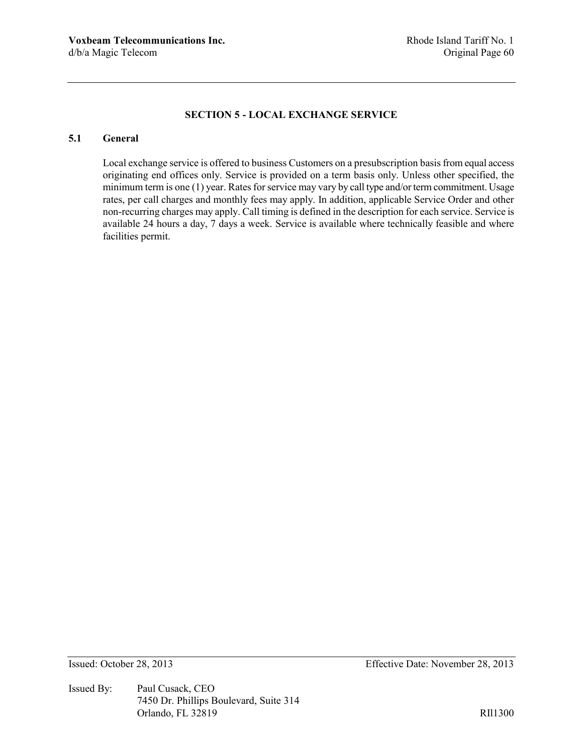# **SECTION 5 - LOCAL EXCHANGE SERVICE**

# **5.1 General**

Local exchange service is offered to business Customers on a presubscription basis from equal access originating end offices only. Service is provided on a term basis only. Unless other specified, the minimum term is one (1) year. Rates for service may vary by call type and/or term commitment. Usage rates, per call charges and monthly fees may apply. In addition, applicable Service Order and other non-recurring charges may apply. Call timing is defined in the description for each service. Service is available 24 hours a day, 7 days a week. Service is available where technically feasible and where facilities permit.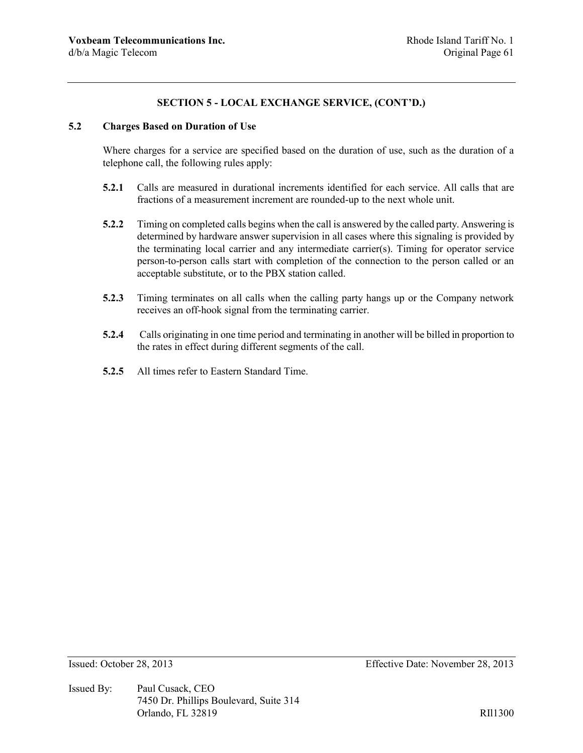# **SECTION 5 - LOCAL EXCHANGE SERVICE, (CONT'D.)**

## **5.2 Charges Based on Duration of Use**

Where charges for a service are specified based on the duration of use, such as the duration of a telephone call, the following rules apply:

- **5.2.1** Calls are measured in durational increments identified for each service. All calls that are fractions of a measurement increment are rounded-up to the next whole unit.
- **5.2.2** Timing on completed calls begins when the call is answered by the called party. Answering is determined by hardware answer supervision in all cases where this signaling is provided by the terminating local carrier and any intermediate carrier(s). Timing for operator service person-to-person calls start with completion of the connection to the person called or an acceptable substitute, or to the PBX station called.
- **5.2.3** Timing terminates on all calls when the calling party hangs up or the Company network receives an off-hook signal from the terminating carrier.
- **5.2.4** Calls originating in one time period and terminating in another will be billed in proportion to the rates in effect during different segments of the call.
- **5.2.5** All times refer to Eastern Standard Time.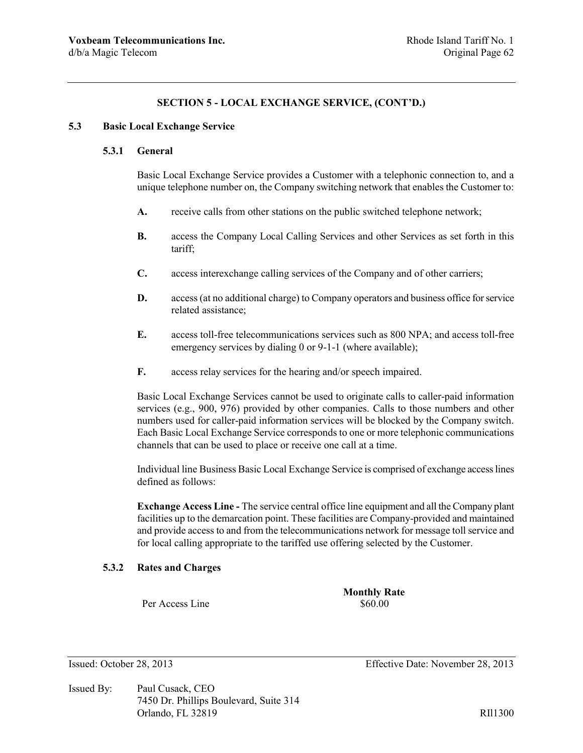## **SECTION 5 - LOCAL EXCHANGE SERVICE, (CONT'D.)**

### **5.3 Basic Local Exchange Service**

#### **5.3.1 General**

Basic Local Exchange Service provides a Customer with a telephonic connection to, and a unique telephone number on, the Company switching network that enables the Customer to:

- **A.** receive calls from other stations on the public switched telephone network;
- **B.** access the Company Local Calling Services and other Services as set forth in this tariff;
- **C.** access interexchange calling services of the Company and of other carriers;
- **D.** access (at no additional charge) to Company operators and business office for service related assistance;
- **E.** access toll-free telecommunications services such as 800 NPA; and access toll-free emergency services by dialing 0 or 9-1-1 (where available);
- **F.** access relay services for the hearing and/or speech impaired.

Basic Local Exchange Services cannot be used to originate calls to caller-paid information services (e.g., 900, 976) provided by other companies. Calls to those numbers and other numbers used for caller-paid information services will be blocked by the Company switch. Each Basic Local Exchange Service corresponds to one or more telephonic communications channels that can be used to place or receive one call at a time.

Individual line Business Basic Local Exchange Service is comprised of exchange access lines defined as follows:

**Exchange Access Line -** The service central office line equipment and all the Company plant facilities up to the demarcation point. These facilities are Company-provided and maintained and provide access to and from the telecommunications network for message toll service and for local calling appropriate to the tariffed use offering selected by the Customer.

### **5.3.2 Rates and Charges**

Per Access Line  $$60.00$ 

**Monthly Rate**

Issued By: Paul Cusack, CEO 7450 Dr. Phillips Boulevard, Suite 314 Orlando, FL 32819 RII1300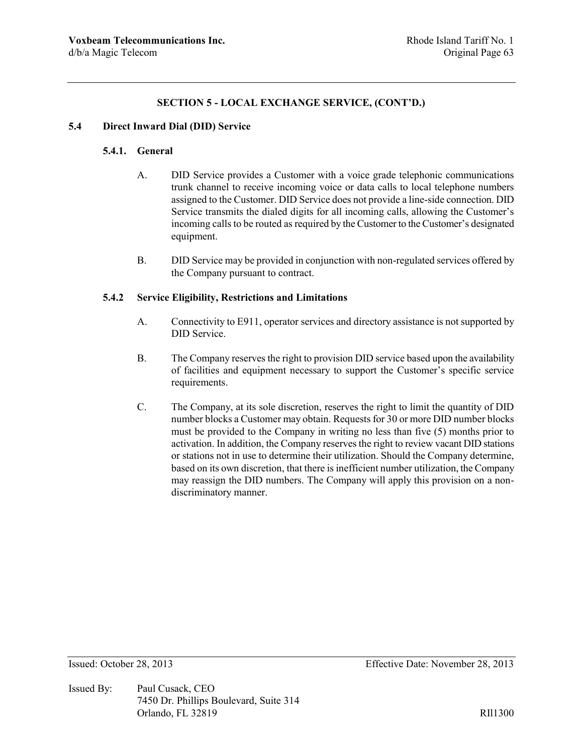# **SECTION 5 - LOCAL EXCHANGE SERVICE, (CONT'D.)**

### **5.4 Direct Inward Dial (DID) Service**

### **5.4.1. General**

- A. DID Service provides a Customer with a voice grade telephonic communications trunk channel to receive incoming voice or data calls to local telephone numbers assigned to the Customer. DID Service does not provide a line-side connection. DID Service transmits the dialed digits for all incoming calls, allowing the Customer's incoming calls to be routed as required by the Customer to the Customer's designated equipment.
- B. DID Service may be provided in conjunction with non-regulated services offered by the Company pursuant to contract.

# **5.4.2 Service Eligibility, Restrictions and Limitations**

- A. Connectivity to E911, operator services and directory assistance is not supported by DID Service.
- B. The Company reserves the right to provision DID service based upon the availability of facilities and equipment necessary to support the Customer's specific service requirements.
- C. The Company, at its sole discretion, reserves the right to limit the quantity of DID number blocks a Customer may obtain. Requests for 30 or more DID number blocks must be provided to the Company in writing no less than five (5) months prior to activation. In addition, the Company reserves the right to review vacant DID stations or stations not in use to determine their utilization. Should the Company determine, based on its own discretion, that there is inefficient number utilization, the Company may reassign the DID numbers. The Company will apply this provision on a nondiscriminatory manner.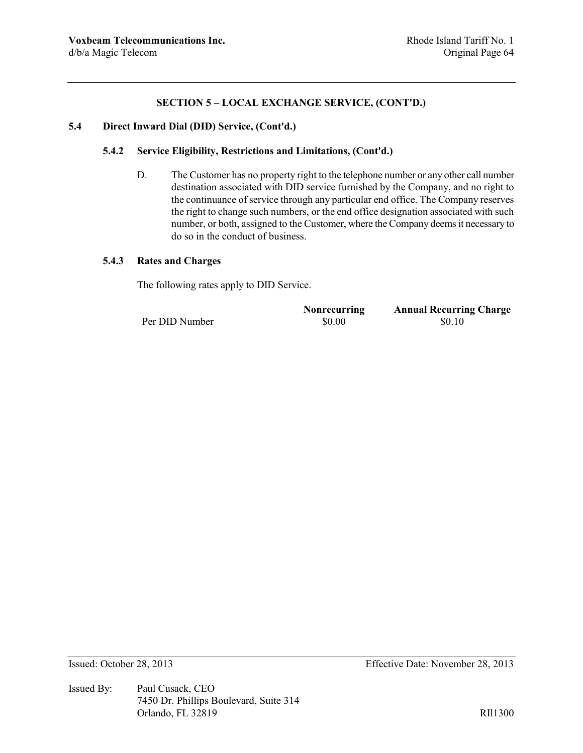# **SECTION 5 – LOCAL EXCHANGE SERVICE, (CONT'D.)**

### **5.4 Direct Inward Dial (DID) Service, (Cont'd.)**

#### **5.4.2 Service Eligibility, Restrictions and Limitations, (Cont'd.)**

D. The Customer has no property right to the telephone number or any other call number destination associated with DID service furnished by the Company, and no right to the continuance of service through any particular end office. The Company reserves the right to change such numbers, or the end office designation associated with such number, or both, assigned to the Customer, where the Company deems it necessary to do so in the conduct of business.

#### **5.4.3 Rates and Charges**

The following rates apply to DID Service.

**Nonrecurring Annual Recurring Charge** Per DID Number  $$0.00$   $$0.10$ 

Issued By: Paul Cusack, CEO 7450 Dr. Phillips Boulevard, Suite 314 Orlando, FL 32819 RIl1300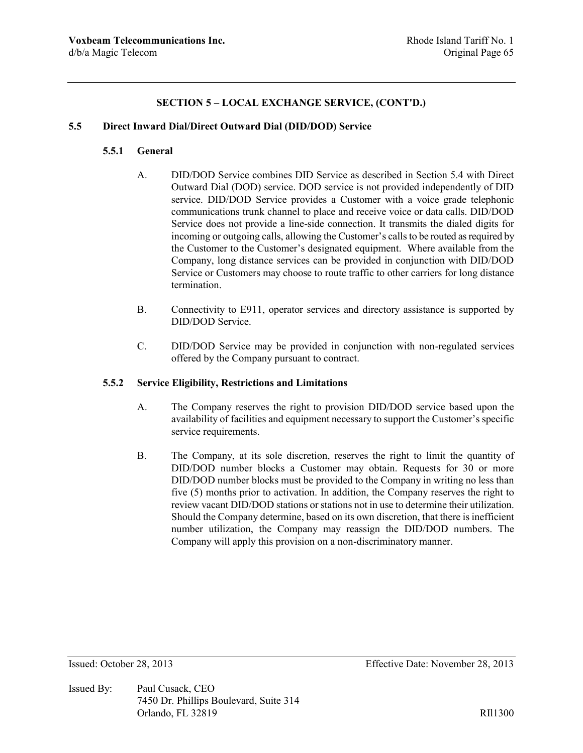# **SECTION 5 – LOCAL EXCHANGE SERVICE, (CONT'D.)**

### **5.5 Direct Inward Dial/Direct Outward Dial (DID/DOD) Service**

### **5.5.1 General**

- A. DID/DOD Service combines DID Service as described in Section 5.4 with Direct Outward Dial (DOD) service. DOD service is not provided independently of DID service. DID/DOD Service provides a Customer with a voice grade telephonic communications trunk channel to place and receive voice or data calls. DID/DOD Service does not provide a line-side connection. It transmits the dialed digits for incoming or outgoing calls, allowing the Customer's calls to be routed as required by the Customer to the Customer's designated equipment. Where available from the Company, long distance services can be provided in conjunction with DID/DOD Service or Customers may choose to route traffic to other carriers for long distance termination.
- B. Connectivity to E911, operator services and directory assistance is supported by DID/DOD Service.
- C. DID/DOD Service may be provided in conjunction with non-regulated services offered by the Company pursuant to contract.

### **5.5.2 Service Eligibility, Restrictions and Limitations**

- A. The Company reserves the right to provision DID/DOD service based upon the availability of facilities and equipment necessary to support the Customer's specific service requirements.
- B. The Company, at its sole discretion, reserves the right to limit the quantity of DID/DOD number blocks a Customer may obtain. Requests for 30 or more DID/DOD number blocks must be provided to the Company in writing no less than five (5) months prior to activation. In addition, the Company reserves the right to review vacant DID/DOD stations or stations not in use to determine their utilization. Should the Company determine, based on its own discretion, that there is inefficient number utilization, the Company may reassign the DID/DOD numbers. The Company will apply this provision on a non-discriminatory manner.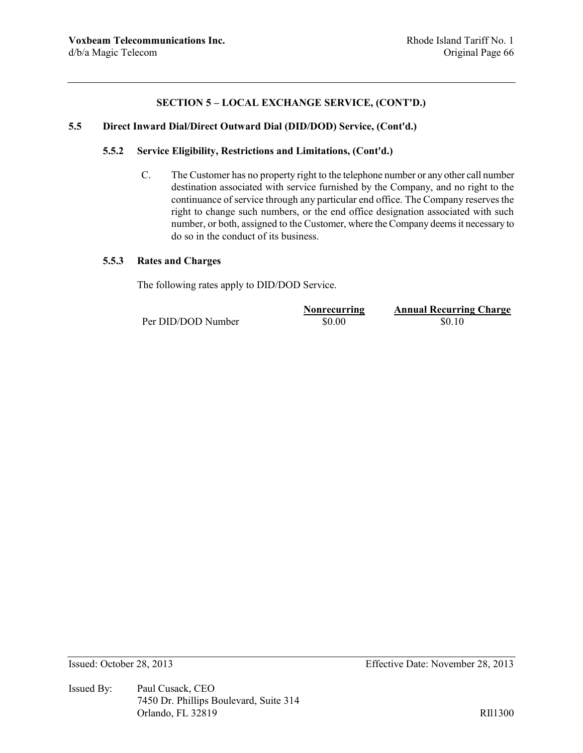# **SECTION 5 – LOCAL EXCHANGE SERVICE, (CONT'D.)**

### **5.5 Direct Inward Dial/Direct Outward Dial (DID/DOD) Service, (Cont'd.)**

### **5.5.2 Service Eligibility, Restrictions and Limitations, (Cont'd.)**

C. The Customer has no property right to the telephone number or any other call number destination associated with service furnished by the Company, and no right to the continuance of service through any particular end office. The Company reserves the right to change such numbers, or the end office designation associated with such number, or both, assigned to the Customer, where the Company deems it necessary to do so in the conduct of its business.

#### **5.5.3 Rates and Charges**

The following rates apply to DID/DOD Service.

Per DID/DOD Number  $$0.00$  \$0.10

**Nonrecurring Annual Recurring Charge**

Issued: October 28, 2013 Effective Date: November 28, 2013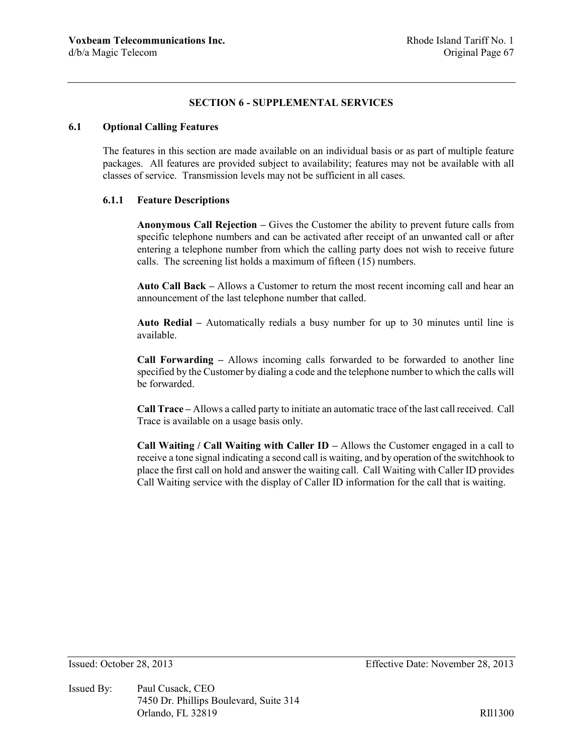## **SECTION 6 - SUPPLEMENTAL SERVICES**

### **6.1 Optional Calling Features**

The features in this section are made available on an individual basis or as part of multiple feature packages. All features are provided subject to availability; features may not be available with all classes of service. Transmission levels may not be sufficient in all cases.

### **6.1.1 Feature Descriptions**

**Anonymous Call Rejection –** Gives the Customer the ability to prevent future calls from specific telephone numbers and can be activated after receipt of an unwanted call or after entering a telephone number from which the calling party does not wish to receive future calls. The screening list holds a maximum of fifteen (15) numbers.

**Auto Call Back –** Allows a Customer to return the most recent incoming call and hear an announcement of the last telephone number that called.

**Auto Redial –** Automatically redials a busy number for up to 30 minutes until line is available.

**Call Forwarding –** Allows incoming calls forwarded to be forwarded to another line specified by the Customer by dialing a code and the telephone number to which the calls will be forwarded.

**Call Trace –** Allows a called party to initiate an automatic trace of the last call received. Call Trace is available on a usage basis only.

**Call Waiting / Call Waiting with Caller ID –** Allows the Customer engaged in a call to receive a tone signal indicating a second call is waiting, and by operation of the switchhook to place the first call on hold and answer the waiting call. Call Waiting with Caller ID provides Call Waiting service with the display of Caller ID information for the call that is waiting.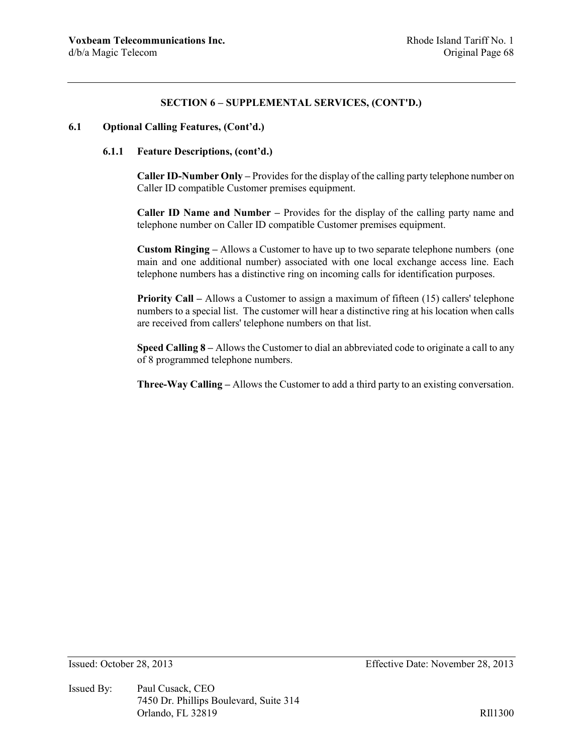## **SECTION 6 – SUPPLEMENTAL SERVICES, (CONT'D.)**

### **6.1 Optional Calling Features, (Cont'd.)**

### **6.1.1 Feature Descriptions, (cont'd.)**

**Caller ID-Number Only –** Provides for the display of the calling party telephone number on Caller ID compatible Customer premises equipment.

**Caller ID Name and Number –** Provides for the display of the calling party name and telephone number on Caller ID compatible Customer premises equipment.

**Custom Ringing –** Allows a Customer to have up to two separate telephone numbers (one main and one additional number) associated with one local exchange access line. Each telephone numbers has a distinctive ring on incoming calls for identification purposes.

**Priority Call –** Allows a Customer to assign a maximum of fifteen (15) callers' telephone numbers to a special list. The customer will hear a distinctive ring at his location when calls are received from callers' telephone numbers on that list.

**Speed Calling 8 –** Allows the Customer to dial an abbreviated code to originate a call to any of 8 programmed telephone numbers.

**Three-Way Calling –** Allows the Customer to add a third party to an existing conversation.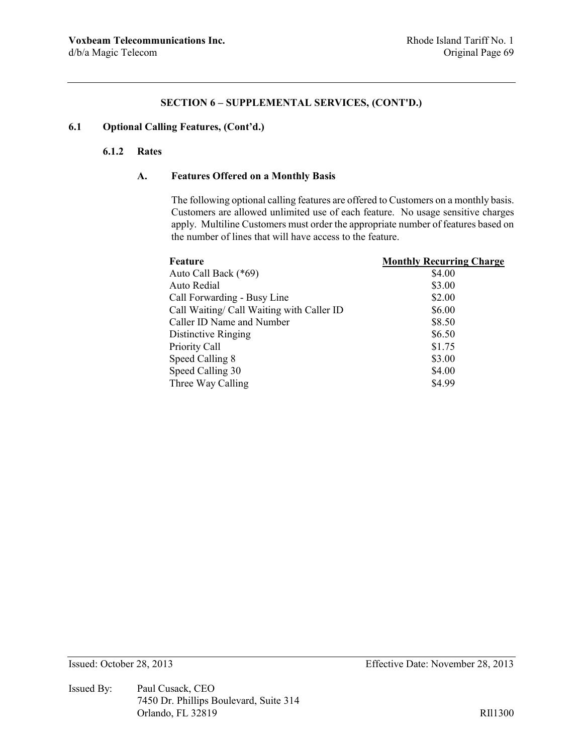## **SECTION 6 – SUPPLEMENTAL SERVICES, (CONT'D.)**

# **6.1 Optional Calling Features, (Cont'd.)**

## **6.1.2 Rates**

## **A. Features Offered on a Monthly Basis**

The following optional calling features are offered to Customers on a monthly basis. Customers are allowed unlimited use of each feature. No usage sensitive charges apply. Multiline Customers must order the appropriate number of features based on the number of lines that will have access to the feature.

| Feature                                   | <b>Monthly Recurring Charge</b> |
|-------------------------------------------|---------------------------------|
| Auto Call Back (*69)                      | \$4.00                          |
| Auto Redial                               | \$3.00                          |
| Call Forwarding - Busy Line               | \$2.00                          |
| Call Waiting/ Call Waiting with Caller ID | \$6.00                          |
| Caller ID Name and Number                 | \$8.50                          |
| Distinctive Ringing                       | \$6.50                          |
| Priority Call                             | \$1.75                          |
| Speed Calling 8                           | \$3.00                          |
| Speed Calling 30                          | \$4.00                          |
| Three Way Calling                         | \$4.99                          |

Issued By: Paul Cusack, CEO 7450 Dr. Phillips Boulevard, Suite 314 Orlando, FL 32819 RIl1300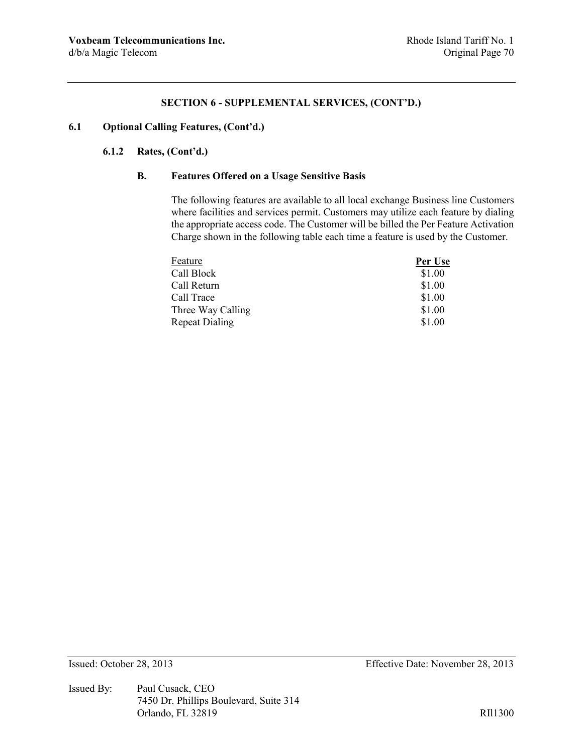### **SECTION 6 - SUPPLEMENTAL SERVICES, (CONT'D.)**

# **6.1 Optional Calling Features, (Cont'd.)**

# **6.1.2 Rates, (Cont'd.)**

### **B. Features Offered on a Usage Sensitive Basis**

The following features are available to all local exchange Business line Customers where facilities and services permit. Customers may utilize each feature by dialing the appropriate access code. The Customer will be billed the Per Feature Activation Charge shown in the following table each time a feature is used by the Customer.

| Feature               | Per Use |
|-----------------------|---------|
| Call Block            | \$1.00  |
| Call Return           | \$1.00  |
| Call Trace            | \$1.00  |
| Three Way Calling     | \$1.00  |
| <b>Repeat Dialing</b> | \$1.00  |

Issued By: Paul Cusack, CEO 7450 Dr. Phillips Boulevard, Suite 314 Orlando, FL 32819 RIl1300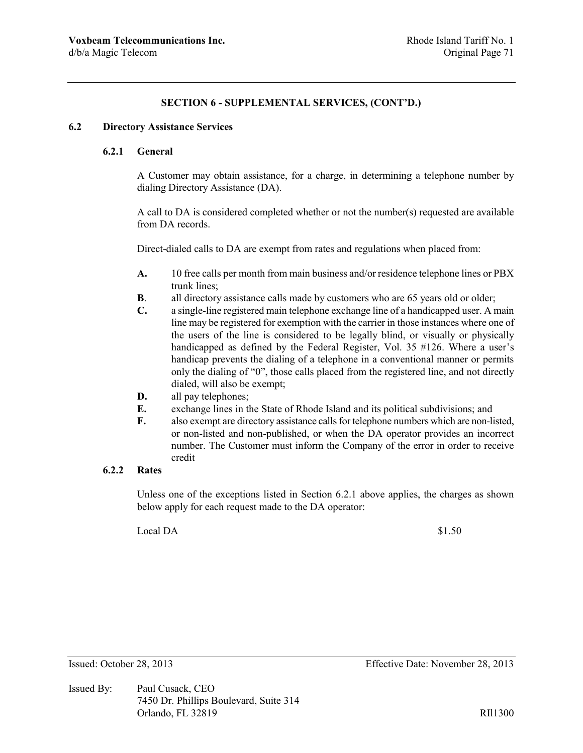# **SECTION 6 - SUPPLEMENTAL SERVICES, (CONT'D.)**

### **6.2 Directory Assistance Services**

### **6.2.1 General**

A Customer may obtain assistance, for a charge, in determining a telephone number by dialing Directory Assistance (DA).

A call to DA is considered completed whether or not the number(s) requested are available from DA records.

Direct-dialed calls to DA are exempt from rates and regulations when placed from:

- **A.** 10 free calls per month from main business and/or residence telephone lines or PBX trunk lines;
- **B**. all directory assistance calls made by customers who are 65 years old or older;
- **C.** a single-line registered main telephone exchange line of a handicapped user. A main line may be registered for exemption with the carrier in those instances where one of the users of the line is considered to be legally blind, or visually or physically handicapped as defined by the Federal Register, Vol. 35 #126. Where a user's handicap prevents the dialing of a telephone in a conventional manner or permits only the dialing of "0", those calls placed from the registered line, and not directly dialed, will also be exempt;
- **D.** all pay telephones;
- **E.** exchange lines in the State of Rhode Island and its political subdivisions; and
- **F.** also exempt are directory assistance calls for telephone numbers which are non-listed, or non-listed and non-published, or when the DA operator provides an incorrect number. The Customer must inform the Company of the error in order to receive credit

# **6.2.2 Rates**

Unless one of the exceptions listed in Section 6.2.1 above applies, the charges as shown below apply for each request made to the DA operator:

Local DA  $$1.50$ 

Issued By: Paul Cusack, CEO 7450 Dr. Phillips Boulevard, Suite 314 Orlando, FL 32819 RII1300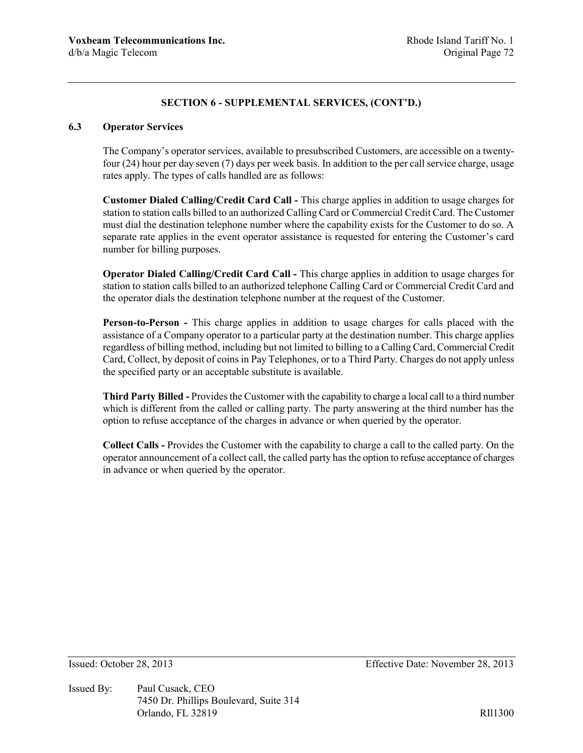# **6.3 Operator Services**

The Company's operator services, available to presubscribed Customers, are accessible on a twentyfour (24) hour per day seven (7) days per week basis. In addition to the per call service charge, usage rates apply. The types of calls handled are as follows:

**Customer Dialed Calling/Credit Card Call -** This charge applies in addition to usage charges for station to station calls billed to an authorized Calling Card or Commercial Credit Card. The Customer must dial the destination telephone number where the capability exists for the Customer to do so. A separate rate applies in the event operator assistance is requested for entering the Customer's card number for billing purposes.

**Operator Dialed Calling/Credit Card Call -** This charge applies in addition to usage charges for station to station calls billed to an authorized telephone Calling Card or Commercial Credit Card and the operator dials the destination telephone number at the request of the Customer.

**Person-to-Person -** This charge applies in addition to usage charges for calls placed with the assistance of a Company operator to a particular party at the destination number. This charge applies regardless of billing method, including but not limited to billing to a Calling Card, Commercial Credit Card, Collect, by deposit of coins in Pay Telephones, or to a Third Party. Charges do not apply unless the specified party or an acceptable substitute is available.

**Third Party Billed -** Provides the Customer with the capability to charge a local call to a third number which is different from the called or calling party. The party answering at the third number has the option to refuse acceptance of the charges in advance or when queried by the operator.

**Collect Calls -** Provides the Customer with the capability to charge a call to the called party. On the operator announcement of a collect call, the called party has the option to refuse acceptance of charges in advance or when queried by the operator.

Issued By: Paul Cusack, CEO 7450 Dr. Phillips Boulevard, Suite 314 Orlando, FL 32819 RII1300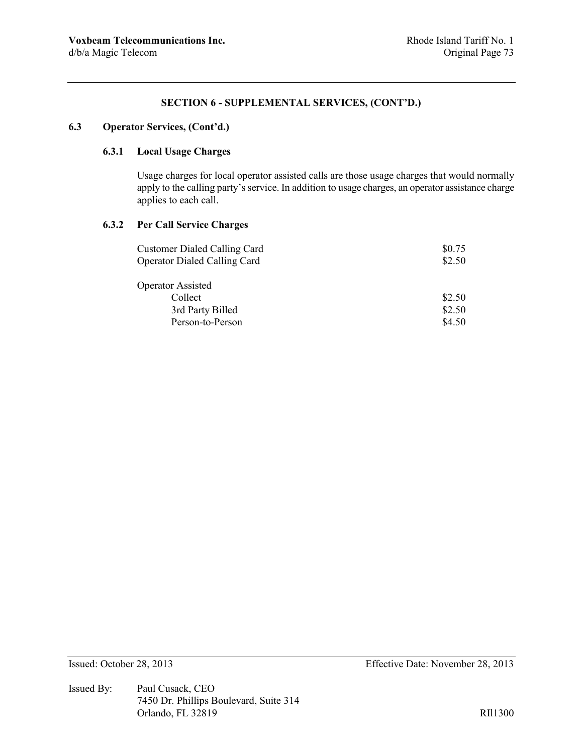# **6.3 Operator Services, (Cont'd.)**

# **6.3.1 Local Usage Charges**

Usage charges for local operator assisted calls are those usage charges that would normally apply to the calling party's service. In addition to usage charges, an operator assistance charge applies to each call.

#### **6.3.2 Per Call Service Charges**

| <b>Customer Dialed Calling Card</b> | \$0.75 |
|-------------------------------------|--------|
| <b>Operator Dialed Calling Card</b> | \$2.50 |
|                                     |        |
| <b>Operator Assisted</b>            |        |
| Collect                             | \$2.50 |
| 3rd Party Billed                    | \$2.50 |
| Person-to-Person                    | \$4.50 |

Issued By: Paul Cusack, CEO 7450 Dr. Phillips Boulevard, Suite 314 Orlando, FL 32819 RIl1300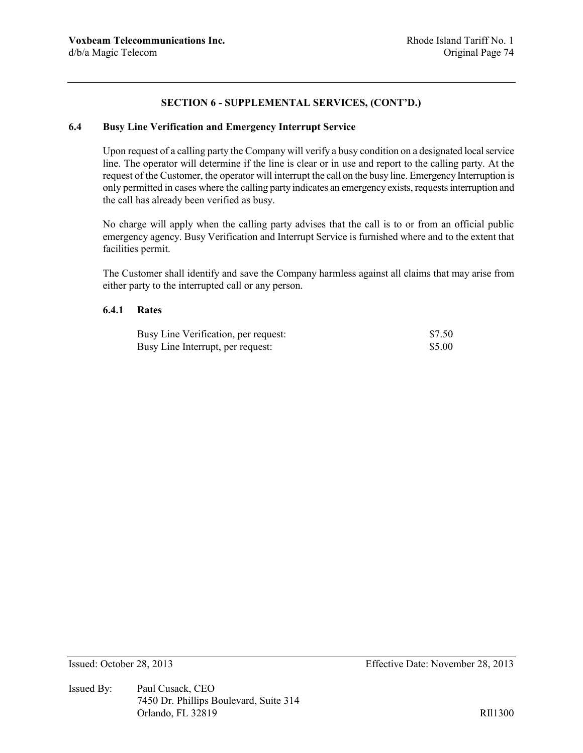# **6.4 Busy Line Verification and Emergency Interrupt Service**

Upon request of a calling party the Company will verify a busy condition on a designated local service line. The operator will determine if the line is clear or in use and report to the calling party. At the request of the Customer, the operator will interrupt the call on the busy line. Emergency Interruption is only permitted in cases where the calling party indicates an emergency exists, requests interruption and the call has already been verified as busy.

No charge will apply when the calling party advises that the call is to or from an official public emergency agency. Busy Verification and Interrupt Service is furnished where and to the extent that facilities permit.

The Customer shall identify and save the Company harmless against all claims that may arise from either party to the interrupted call or any person.

#### **6.4.1 Rates**

| Busy Line Verification, per request: | \$7.50 |
|--------------------------------------|--------|
| Busy Line Interrupt, per request:    | \$5.00 |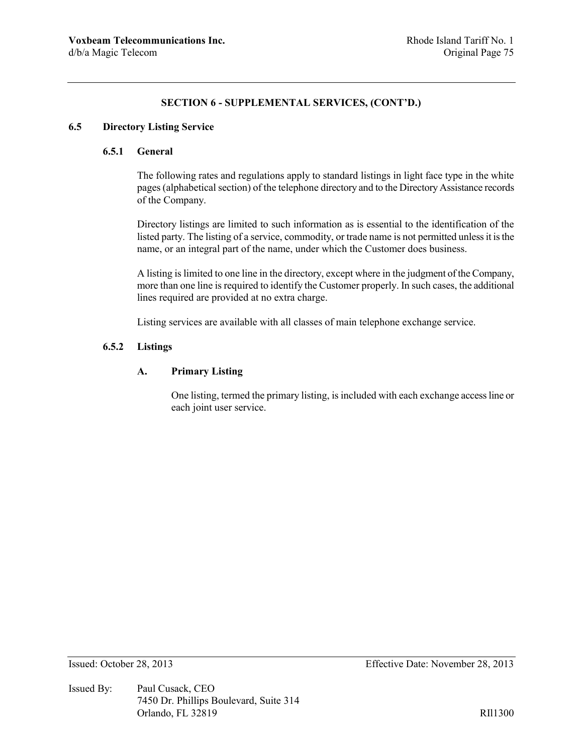## **6.5 Directory Listing Service**

# **6.5.1 General**

The following rates and regulations apply to standard listings in light face type in the white pages (alphabetical section) of the telephone directory and to the Directory Assistance records of the Company.

Directory listings are limited to such information as is essential to the identification of the listed party. The listing of a service, commodity, or trade name is not permitted unless it is the name, or an integral part of the name, under which the Customer does business.

A listing is limited to one line in the directory, except where in the judgment of the Company, more than one line is required to identify the Customer properly. In such cases, the additional lines required are provided at no extra charge.

Listing services are available with all classes of main telephone exchange service.

### **6.5.2 Listings**

# **A. Primary Listing**

One listing, termed the primary listing, is included with each exchange access line or each joint user service.

Issued By: Paul Cusack, CEO 7450 Dr. Phillips Boulevard, Suite 314 Orlando, FL 32819 RII1300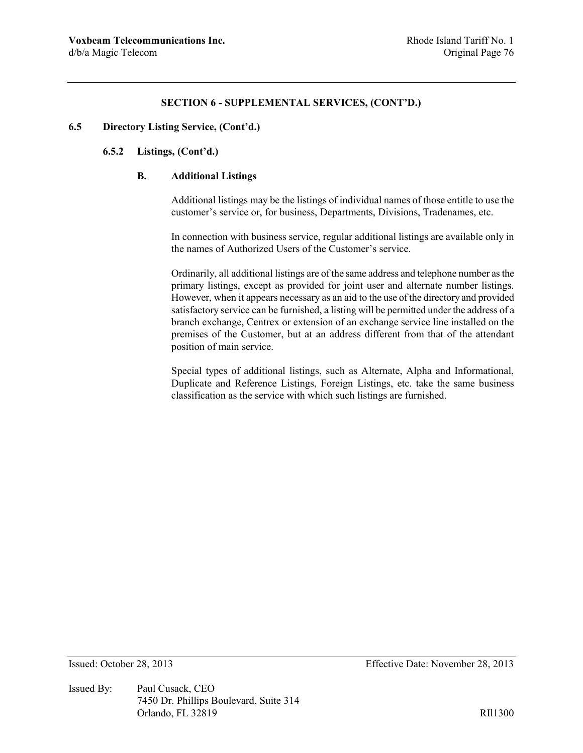### **6.5 Directory Listing Service, (Cont'd.)**

# **6.5.2 Listings, (Cont'd.)**

## **B. Additional Listings**

Additional listings may be the listings of individual names of those entitle to use the customer's service or, for business, Departments, Divisions, Tradenames, etc.

In connection with business service, regular additional listings are available only in the names of Authorized Users of the Customer's service.

Ordinarily, all additional listings are of the same address and telephone number as the primary listings, except as provided for joint user and alternate number listings. However, when it appears necessary as an aid to the use of the directory and provided satisfactory service can be furnished, a listing will be permitted under the address of a branch exchange, Centrex or extension of an exchange service line installed on the premises of the Customer, but at an address different from that of the attendant position of main service.

Special types of additional listings, such as Alternate, Alpha and Informational, Duplicate and Reference Listings, Foreign Listings, etc. take the same business classification as the service with which such listings are furnished.

Issued By: Paul Cusack, CEO 7450 Dr. Phillips Boulevard, Suite 314 Orlando, FL 32819 RII1300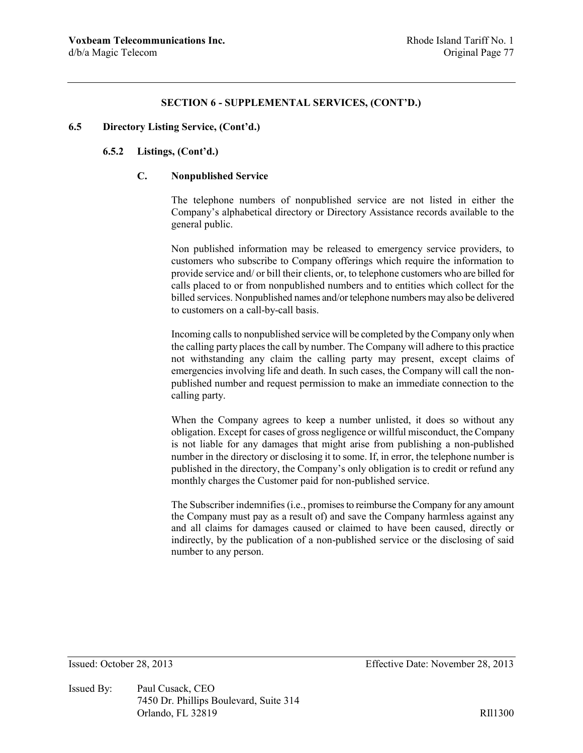#### **6.5 Directory Listing Service, (Cont'd.)**

# **6.5.2 Listings, (Cont'd.)**

# **C. Nonpublished Service**

The telephone numbers of nonpublished service are not listed in either the Company's alphabetical directory or Directory Assistance records available to the general public.

Non published information may be released to emergency service providers, to customers who subscribe to Company offerings which require the information to provide service and/ or bill their clients, or, to telephone customers who are billed for calls placed to or from nonpublished numbers and to entities which collect for the billed services. Nonpublished names and/or telephone numbers may also be delivered to customers on a call-by-call basis.

Incoming calls to nonpublished service will be completed by the Company only when the calling party places the call by number. The Company will adhere to this practice not withstanding any claim the calling party may present, except claims of emergencies involving life and death. In such cases, the Company will call the nonpublished number and request permission to make an immediate connection to the calling party.

When the Company agrees to keep a number unlisted, it does so without any obligation. Except for cases of gross negligence or willful misconduct, the Company is not liable for any damages that might arise from publishing a non-published number in the directory or disclosing it to some. If, in error, the telephone number is published in the directory, the Company's only obligation is to credit or refund any monthly charges the Customer paid for non-published service.

The Subscriber indemnifies (i.e., promises to reimburse the Company for any amount the Company must pay as a result of) and save the Company harmless against any and all claims for damages caused or claimed to have been caused, directly or indirectly, by the publication of a non-published service or the disclosing of said number to any person.

Issued By: Paul Cusack, CEO 7450 Dr. Phillips Boulevard, Suite 314 Orlando, FL 32819 RII1300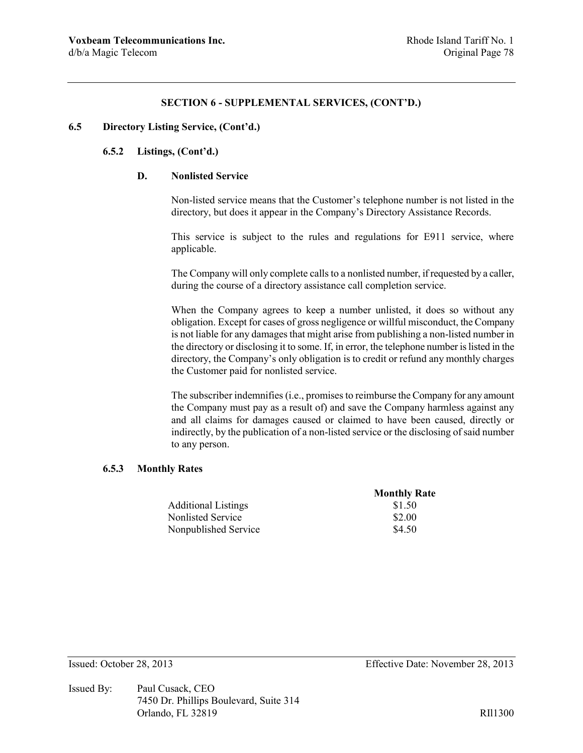### **6.5 Directory Listing Service, (Cont'd.)**

# **6.5.2 Listings, (Cont'd.)**

## **D. Nonlisted Service**

Non-listed service means that the Customer's telephone number is not listed in the directory, but does it appear in the Company's Directory Assistance Records.

This service is subject to the rules and regulations for E911 service, where applicable.

The Company will only complete calls to a nonlisted number, if requested by a caller, during the course of a directory assistance call completion service.

When the Company agrees to keep a number unlisted, it does so without any obligation. Except for cases of gross negligence or willful misconduct, the Company is not liable for any damages that might arise from publishing a non-listed number in the directory or disclosing it to some. If, in error, the telephone number is listed in the directory, the Company's only obligation is to credit or refund any monthly charges the Customer paid for nonlisted service.

The subscriber indemnifies (i.e., promises to reimburse the Company for any amount the Company must pay as a result of) and save the Company harmless against any and all claims for damages caused or claimed to have been caused, directly or indirectly, by the publication of a non-listed service or the disclosing of said number to any person.

#### **6.5.3 Monthly Rates**

|                            | <b>Monthly Rate</b> |
|----------------------------|---------------------|
| <b>Additional Listings</b> | \$1.50              |
| Nonlisted Service          | \$2.00              |
| Nonpublished Service       | \$4.50              |

Issued By: Paul Cusack, CEO 7450 Dr. Phillips Boulevard, Suite 314 Orlando, FL 32819 RII1300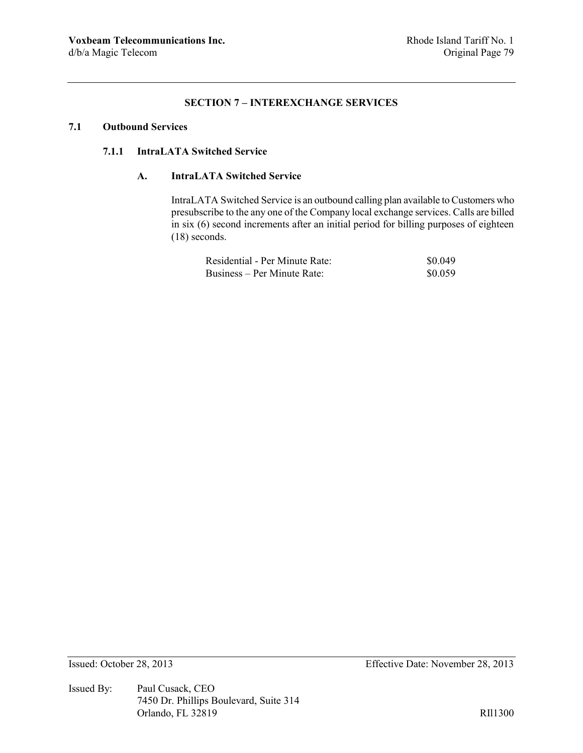# **SECTION 7 – INTEREXCHANGE SERVICES**

# **7.1 Outbound Services**

## **7.1.1 IntraLATA Switched Service**

# **A. IntraLATA Switched Service**

IntraLATA Switched Service is an outbound calling plan available to Customers who presubscribe to the any one of the Company local exchange services. Calls are billed in six (6) second increments after an initial period for billing purposes of eighteen (18) seconds.

| Residential - Per Minute Rate: | \$0.049 |
|--------------------------------|---------|
| Business – Per Minute Rate:    | \$0.059 |

Issued By: Paul Cusack, CEO 7450 Dr. Phillips Boulevard, Suite 314 Orlando, FL 32819 RIl1300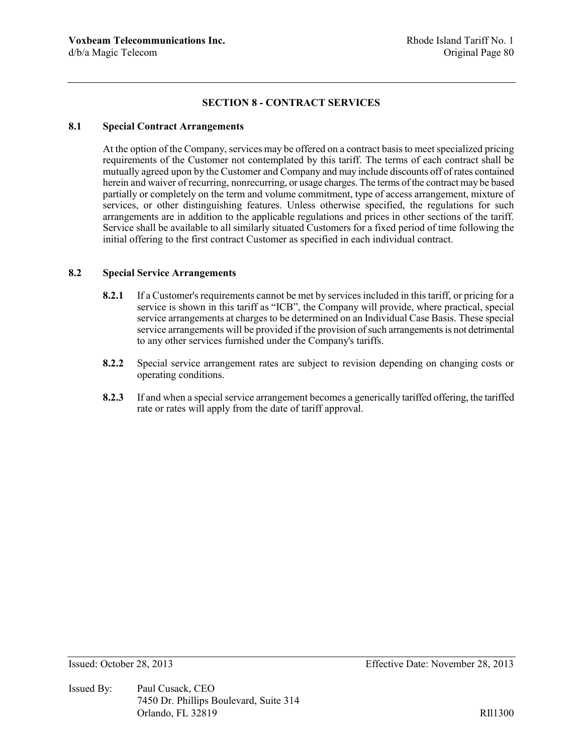# **SECTION 8 - CONTRACT SERVICES**

## **8.1 Special Contract Arrangements**

At the option of the Company, services may be offered on a contract basis to meet specialized pricing requirements of the Customer not contemplated by this tariff. The terms of each contract shall be mutually agreed upon by the Customer and Company and may include discounts off of rates contained herein and waiver of recurring, nonrecurring, or usage charges. The terms of the contract may be based partially or completely on the term and volume commitment, type of access arrangement, mixture of services, or other distinguishing features. Unless otherwise specified, the regulations for such arrangements are in addition to the applicable regulations and prices in other sections of the tariff. Service shall be available to all similarly situated Customers for a fixed period of time following the initial offering to the first contract Customer as specified in each individual contract.

#### **8.2 Special Service Arrangements**

- **8.2.1** If a Customer's requirements cannot be met by services included in this tariff, or pricing for a service is shown in this tariff as "ICB", the Company will provide, where practical, special service arrangements at charges to be determined on an Individual Case Basis. These special service arrangements will be provided if the provision of such arrangements is not detrimental to any other services furnished under the Company's tariffs.
- **8.2.2** Special service arrangement rates are subject to revision depending on changing costs or operating conditions.
- **8.2.3** If and when a special service arrangement becomes a generically tariffed offering, the tariffed rate or rates will apply from the date of tariff approval.

Issued By: Paul Cusack, CEO 7450 Dr. Phillips Boulevard, Suite 314 Orlando, FL 32819 RIl1300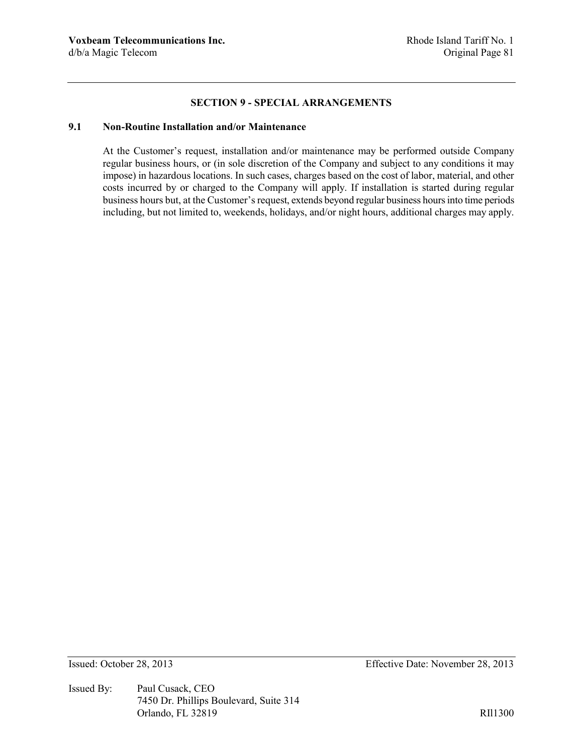### **SECTION 9 - SPECIAL ARRANGEMENTS**

# **9.1 Non-Routine Installation and/or Maintenance**

At the Customer's request, installation and/or maintenance may be performed outside Company regular business hours, or (in sole discretion of the Company and subject to any conditions it may impose) in hazardous locations. In such cases, charges based on the cost of labor, material, and other costs incurred by or charged to the Company will apply. If installation is started during regular business hours but, at the Customer's request, extends beyond regular business hours into time periods including, but not limited to, weekends, holidays, and/or night hours, additional charges may apply.

Issued By: Paul Cusack, CEO 7450 Dr. Phillips Boulevard, Suite 314 Orlando, FL 32819 RIl1300